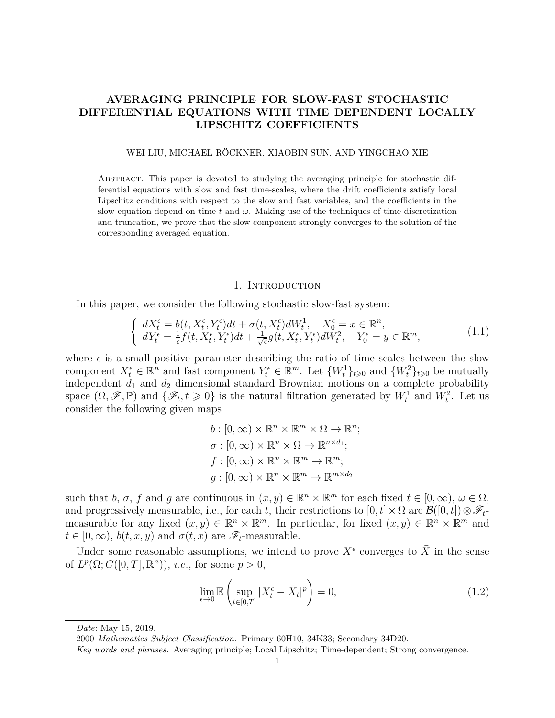# **AVERAGING PRINCIPLE FOR SLOW-FAST STOCHASTIC DIFFERENTIAL EQUATIONS WITH TIME DEPENDENT LOCALLY LIPSCHITZ COEFFICIENTS**

#### WEI LIU, MICHAEL RÖCKNER, XIAOBIN SUN, AND YINGCHAO XIE

Abstract. This paper is devoted to studying the averaging principle for stochastic differential equations with slow and fast time-scales, where the drift coefficients satisfy local Lipschitz conditions with respect to the slow and fast variables, and the coefficients in the slow equation depend on time  $t$  and  $\omega$ . Making use of the techniques of time discretization and truncation, we prove that the slow component strongly converges to the solution of the corresponding averaged equation.

### 1. INTRODUCTION

In this paper, we consider the following stochastic slow-fast system:

<span id="page-0-0"></span>
$$
\begin{cases}\ndX_t^{\epsilon} = b(t, X_t^{\epsilon}, Y_t^{\epsilon})dt + \sigma(t, X_t^{\epsilon})dW_t^1, & X_0^{\epsilon} = x \in \mathbb{R}^n, \\
dY_t^{\epsilon} = \frac{1}{\epsilon}f(t, X_t^{\epsilon}, Y_t^{\epsilon})dt + \frac{1}{\sqrt{\epsilon}}g(t, X_t^{\epsilon}, Y_t^{\epsilon})dW_t^2, & Y_0^{\epsilon} = y \in \mathbb{R}^m,\n\end{cases} \tag{1.1}
$$

where  $\epsilon$  is a small positive parameter describing the ratio of time scales between the slow component  $X_t^{\epsilon} \in \mathbb{R}^n$  and fast component  $Y_t^{\epsilon} \in \mathbb{R}^m$ . Let  $\{W_t^1\}_{t \geqslant 0}$  and  $\{W_t^2\}_{t \geqslant 0}$  be mutually independent  $d_1$  and  $d_2$  dimensional standard Brownian motions on a complete probability space  $(\Omega, \mathscr{F}, \mathbb{P})$  and  $\{\mathscr{F}_t, t \geq 0\}$  is the natural filtration generated by  $W_t^1$  and  $W_t^2$ . Let us consider the following given maps

$$
b: [0, \infty) \times \mathbb{R}^n \times \mathbb{R}^m \times \Omega \to \mathbb{R}^n;
$$
  
\n
$$
\sigma: [0, \infty) \times \mathbb{R}^n \times \Omega \to \mathbb{R}^{n \times d_1};
$$
  
\n
$$
f: [0, \infty) \times \mathbb{R}^n \times \mathbb{R}^m \to \mathbb{R}^m;
$$
  
\n
$$
g: [0, \infty) \times \mathbb{R}^n \times \mathbb{R}^m \to \mathbb{R}^{m \times d_2}
$$

such that *b*,  $\sigma$ ,  $f$  and  $g$  are continuous in  $(x, y) \in \mathbb{R}^n \times \mathbb{R}^m$  for each fixed  $t \in [0, \infty)$ ,  $\omega \in \Omega$ , and progressively measurable, i.e., for each *t*, their restrictions to  $[0, t] \times \Omega$  are  $\mathcal{B}([0, t]) \otimes \mathcal{F}_t$ measurable for any fixed  $(x, y) \in \mathbb{R}^n \times \mathbb{R}^m$ . In particular, for fixed  $(x, y) \in \mathbb{R}^n \times \mathbb{R}^m$  and  $t \in [0, \infty)$ ,  $b(t, x, y)$  and  $\sigma(t, x)$  are  $\mathscr{F}_t$ -measurable.

Under some reasonable assumptions, we intend to prove  $X^{\epsilon}$  converges to  $\overline{X}$  in the sense of  $L^p(\Omega; C([0, T], \mathbb{R}^n))$ , *i.e.*, for some  $p > 0$ ,

$$
\lim_{\epsilon \to 0} \mathbb{E}\left(\sup_{t \in [0,T]} |X_t^{\epsilon} - \bar{X}_t|^p\right) = 0,\tag{1.2}
$$

*Date*: May 15, 2019.

<sup>2000</sup> *Mathematics Subject Classification.* Primary 60H10, 34K33; Secondary 34D20.

*Key words and phrases.* Averaging principle; Local Lipschitz; Time-dependent; Strong convergence.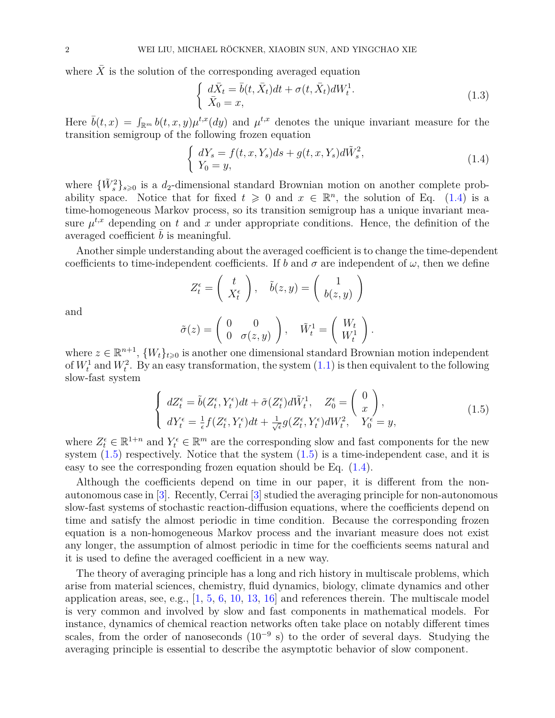where  $\overline{X}$  is the solution of the corresponding averaged equation

$$
\begin{cases}\n d\bar{X}_t = \bar{b}(t, \bar{X}_t)dt + \sigma(t, \bar{X}_t)dW_t^1. \\
 \bar{X}_0 = x,\n\end{cases} \n\tag{1.3}
$$

Here  $\bar{b}(t,x) = \int_{\mathbb{R}^m} b(t,x,y) \mu^{t,x}(dy)$  and  $\mu^{t,x}$  denotes the unique invariant measure for the transition semigroup of the following frozen equation

<span id="page-1-0"></span>
$$
\begin{cases}\ndY_s = f(t, x, Y_s)ds + g(t, x, Y_s)d\tilde{W}_s^2, \\
Y_0 = y,\n\end{cases}
$$
\n(1.4)

where  $\{\tilde{W}_s^2\}_{s\geqslant0}$  is a *d*<sub>2</sub>-dimensional standard Brownian motion on another complete probability space. Notice that for fixed  $t \geq 0$  and  $x \in \mathbb{R}^n$ , the solution of Eq. [\(1.4\)](#page-1-0) is a time-homogeneous Markov process, so its transition semigroup has a unique invariant measure  $\mu^{t,x}$  depending on  $t$  and  $x$  under appropriate conditions. Hence, the definition of the averaged coefficient *b* is meaningful.

Another simple understanding about the averaged coefficient is to change the time-dependent coefficients to time-independent coefficients. If *b* and  $\sigma$  are independent of  $\omega$ , then we define

$$
Z_t^{\epsilon} = \left(\begin{array}{c} t \\ X_t^{\epsilon} \end{array}\right), \quad \tilde{b}(z, y) = \left(\begin{array}{c} 1 \\ b(z, y) \end{array}\right)
$$

and

$$
\tilde{\sigma}(z) = \left(\begin{array}{cc} 0 & 0 \\ 0 & \sigma(z,y) \end{array}\right), \quad \tilde{W}_t^1 = \left(\begin{array}{c} W_t \\ W_t^1 \end{array}\right).
$$

where  $z \in \mathbb{R}^{n+1}$ ,  $\{W_t\}_{t \geq 0}$  is another one dimensional standard Brownian motion independent of  $W_t^1$  and  $W_t^2$ . By an easy transformation, the system  $(1.1)$  is then equivalent to the following slow-fast system

<span id="page-1-1"></span>
$$
\begin{cases}\ndZ_t^{\epsilon} = \tilde{b}(Z_t^{\epsilon}, Y_t^{\epsilon})dt + \tilde{\sigma}(Z_t^{\epsilon})d\tilde{W}_t^1, \quad Z_0^{\epsilon} = \begin{pmatrix} 0\\x \end{pmatrix}, \\
dY_t^{\epsilon} = \frac{1}{\epsilon}f(Z_t^{\epsilon}, Y_t^{\epsilon})dt + \frac{1}{\sqrt{\epsilon}}g(Z_t^{\epsilon}, Y_t^{\epsilon})dW_t^2, \quad Y_0^{\epsilon} = y,\n\end{cases} \tag{1.5}
$$

where  $Z_t^{\epsilon} \in \mathbb{R}^{1+n}$  and  $Y_t^{\epsilon} \in \mathbb{R}^m$  are the corresponding slow and fast components for the new system  $(1.5)$  respectively. Notice that the system  $(1.5)$  is a time-independent case, and it is easy to see the corresponding frozen equation should be Eq.  $(1.4)$ .

Although the coefficients depend on time in our paper, it is different from the nonautonomous case in [\[3\]](#page-28-0). Recently, Cerrai [\[3\]](#page-28-0) studied the averaging principle for non-autonomous slow-fast systems of stochastic reaction-diffusion equations, where the coefficients depend on time and satisfy the almost periodic in time condition. Because the corresponding frozen equation is a non-homogeneous Markov process and the invariant measure does not exist any longer, the assumption of almost periodic in time for the coefficients seems natural and it is used to define the averaged coefficient in a new way.

The theory of averaging principle has a long and rich history in multiscale problems, which arise from material sciences, chemistry, fluid dynamics, biology, climate dynamics and other application areas, see, e.g.,  $\left[1, 5, 6, 10, 13, 16\right]$  $\left[1, 5, 6, 10, 13, 16\right]$  $\left[1, 5, 6, 10, 13, 16\right]$  $\left[1, 5, 6, 10, 13, 16\right]$  $\left[1, 5, 6, 10, 13, 16\right]$  $\left[1, 5, 6, 10, 13, 16\right]$  $\left[1, 5, 6, 10, 13, 16\right]$  $\left[1, 5, 6, 10, 13, 16\right]$  $\left[1, 5, 6, 10, 13, 16\right]$  $\left[1, 5, 6, 10, 13, 16\right]$  $\left[1, 5, 6, 10, 13, 16\right]$  and references therein. The multiscale model is very common and involved by slow and fast components in mathematical models. For instance, dynamics of chemical reaction networks often take place on notably different times scales, from the order of nanoseconds  $(10^{-9} s)$  to the order of several days. Studying the averaging principle is essential to describe the asymptotic behavior of slow component.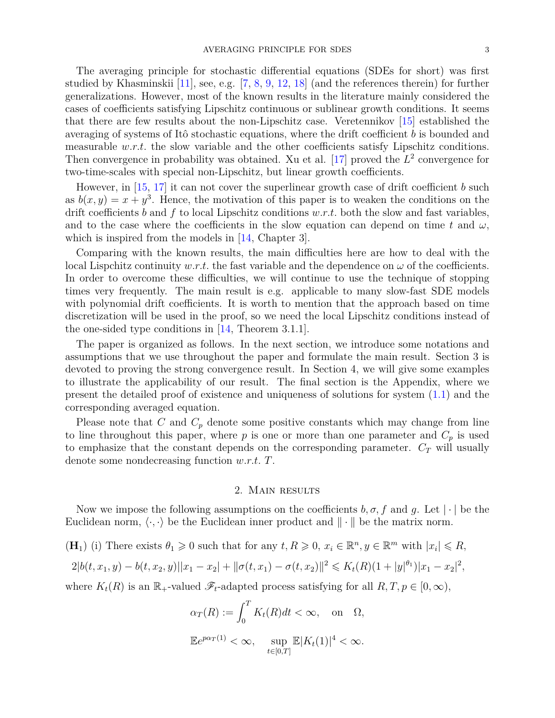The averaging principle for stochastic differential equations (SDEs for short) was first studied by Khasminskii [\[11\]](#page-28-7), see, e.g. [\[7,](#page-28-8) [8,](#page-28-9) [9,](#page-28-10) [12,](#page-28-11) [18\]](#page-28-12) (and the references therein) for further generalizations. However, most of the known results in the literature mainly considered the cases of coefficients satisfying Lipschitz continuous or sublinear growth conditions. It seems that there are few results about the non-Lipschitz case. Veretennikov [\[15\]](#page-28-13) established the averaging of systems of Itô stochastic equations, where the drift coefficient *b* is bounded and measurable *w.r.t.* the slow variable and the other coefficients satisfy Lipschitz conditions. Then convergence in probability was obtained. Xu et al.  $[17]$  proved the  $L^2$  convergence for two-time-scales with special non-Lipschitz, but linear growth coefficients.

However, in [\[15,](#page-28-13) [17\]](#page-28-14) it can not cover the superlinear growth case of drift coefficient *b* such as  $b(x, y) = x + y^3$ . Hence, the motivation of this paper is to weaken the conditions on the drift coefficients *b* and *f* to local Lipschitz conditions *w.r.t.* both the slow and fast variables, and to the case where the coefficients in the slow equation can depend on time t and  $\omega$ , which is inspired from the models in [\[14,](#page-28-15) Chapter 3].

Comparing with the known results, the main difficulties here are how to deal with the local Lispchitz continuity *w.r.t.* the fast variable and the dependence on  $\omega$  of the coefficients. In order to overcome these difficulties, we will continue to use the technique of stopping times very frequently. The main result is e.g. applicable to many slow-fast SDE models with polynomial drift coefficients. It is worth to mention that the approach based on time discretization will be used in the proof, so we need the local Lipschitz conditions instead of the one-sided type conditions in [\[14,](#page-28-15) Theorem 3.1.1].

The paper is organized as follows. In the next section, we introduce some notations and assumptions that we use throughout the paper and formulate the main result. Section 3 is devoted to proving the strong convergence result. In Section 4, we will give some examples to illustrate the applicability of our result. The final section is the Appendix, where we present the detailed proof of existence and uniqueness of solutions for system [\(1.1\)](#page-0-0) and the corresponding averaged equation.

Please note that *C* and  $C_p$  denote some positive constants which may change from line to line throughout this paper, where  $p$  is one or more than one parameter and  $C_p$  is used to emphasize that the constant depends on the corresponding parameter.  $C_T$  will usually denote some nondecreasing function *w.r.t. T*.

### 2. Main results

Now we impose the following assumptions on the coefficients  $b, \sigma, f$  and  $g$ . Let  $|\cdot|$  be the Euclidean norm,  $\langle \cdot, \cdot \rangle$  be the Euclidean inner product and  $\|\cdot\|$  be the matrix norm.

 $(\mathbf{H}_1)$  (i) There exists  $\theta_1 \geq 0$  such that for any  $t, R \geq 0, x_i \in \mathbb{R}^n, y \in \mathbb{R}^m$  with  $|x_i| \leq R$ ,

$$
2|b(t, x_1, y) - b(t, x_2, y)||x_1 - x_2| + ||\sigma(t, x_1) - \sigma(t, x_2)||^2 \le K_t(R)(1 + |y|^{\theta_1})|x_1 - x_2|^2,
$$

where  $K_t(R)$  is an  $\mathbb{R}_+$ -valued  $\mathscr{F}_t$ -adapted process satisfying for all  $R, T, p \in [0, \infty)$ ,

$$
\alpha_T(R) := \int_0^T K_t(R)dt < \infty, \quad \text{on} \quad \Omega,
$$
\n
$$
\mathbb{E}e^{p\alpha_T(1)} < \infty, \quad \sup_{t \in [0,T]} \mathbb{E}|K_t(1)|^4 < \infty.
$$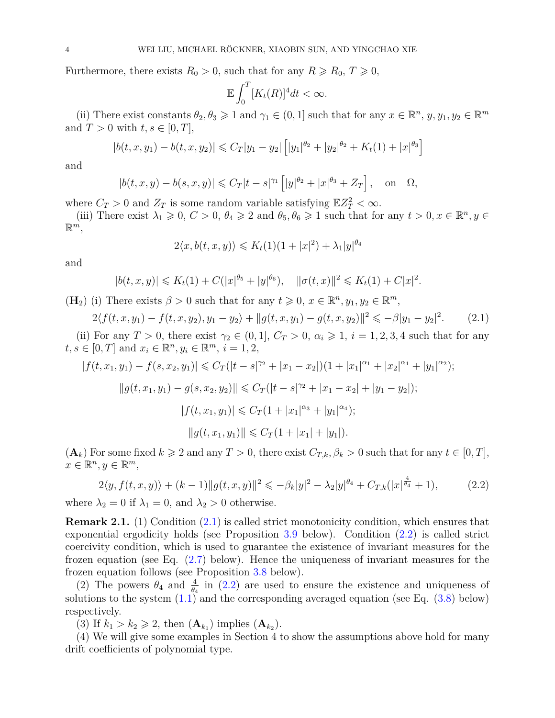Furthermore, there exists  $R_0 > 0$ , such that for any  $R \ge R_0$ ,  $T \ge 0$ ,

$$
\mathbb{E}\int_0^T [K_t(R)]^4 dt < \infty.
$$

(ii) There exist constants  $\theta_2, \theta_3 \geq 1$  and  $\gamma_1 \in (0, 1]$  such that for any  $x \in \mathbb{R}^n$ ,  $y, y_1, y_2 \in \mathbb{R}^m$ and  $T > 0$  with  $t, s \in [0, T]$ ,

$$
|b(t, x, y_1) - b(t, x, y_2)| \leq C_T |y_1 - y_2| \left[ |y_1|^{\theta_2} + |y_2|^{\theta_2} + K_t(1) + |x|^{\theta_3} \right]
$$

and

$$
|b(t, x, y) - b(s, x, y)| \leq C_T |t - s|^{\gamma_1} [|y|^{\theta_2} + |x|^{\theta_3} + Z_T],
$$
 on  $\Omega$ ,

where  $C_T > 0$  and  $Z_T$  is some random variable satisfying  $\mathbb{E}Z_T^2 < \infty$ .

(iii) There exist  $\lambda_1 \geq 0$ ,  $C > 0$ ,  $\theta_4 \geq 2$  and  $\theta_5$ ,  $\theta_6 \geq 1$  such that for any  $t > 0$ ,  $x \in \mathbb{R}^n$ ,  $y \in$  $\mathbb{R}^m,$ 

$$
2\langle x, b(t, x, y)\rangle \le K_t(1)(1+|x|^2) + \lambda_1 |y|^{\theta_4}
$$

and

$$
|b(t, x, y)| \le K_t(1) + C(|x|^{\theta_5} + |y|^{\theta_6}), \quad ||\sigma(t, x)||^2 \le K_t(1) + C|x|^2.
$$

(**H**<sub>2</sub>) (i) There exists  $\beta > 0$  such that for any  $t \geq 0$ ,  $x \in \mathbb{R}^n$ ,  $y_1, y_2 \in \mathbb{R}^m$ ,

<span id="page-3-0"></span>
$$
2\langle f(t, x, y_1) - f(t, x, y_2), y_1 - y_2 \rangle + ||g(t, x, y_1) - g(t, x, y_2)||^2 \leq -\beta |y_1 - y_2|^2. \tag{2.1}
$$

(ii) For any  $T > 0$ , there exist  $\gamma_2 \in (0,1]$ ,  $C_T > 0$ ,  $\alpha_i \geq 1$ ,  $i = 1,2,3,4$  such that for any  $t, s \in [0, T]$  and  $x_i \in \mathbb{R}^n, y_i \in \mathbb{R}^m, i = 1, 2,$ 

$$
|f(t, x_1, y_1) - f(s, x_2, y_1)| \leq C_T(|t - s|^{\gamma_2} + |x_1 - x_2|)(1 + |x_1|^{\alpha_1} + |x_2|^{\alpha_1} + |y_1|^{\alpha_2});
$$
  

$$
||g(t, x_1, y_1) - g(s, x_2, y_2)|| \leq C_T(|t - s|^{\gamma_2} + |x_1 - x_2| + |y_1 - y_2|);
$$
  

$$
|f(t, x_1, y_1)| \leq C_T(1 + |x_1|^{\alpha_3} + |y_1|^{\alpha_4});
$$
  

$$
||g(t, x_1, y_1)|| \leq C_T(1 + |x_1| + |y_1|).
$$

 $(\mathbf{A}_k)$  For some fixed  $k \geq 2$  and any  $T > 0$ , there exist  $C_{T,k}, \beta_k > 0$  such that for any  $t \in [0, T]$ ,  $x \in \mathbb{R}^n, y \in \mathbb{R}^m$ ,

<span id="page-3-1"></span>
$$
2\langle y, f(t, x, y) \rangle + (k - 1) \|g(t, x, y)\|^2 \le -\beta_k |y|^2 - \lambda_2 |y|^{\theta_4} + C_{T,k} (|x|^{\frac{4}{\theta_4}} + 1), \tag{2.2}
$$

where  $\lambda_2 = 0$  if  $\lambda_1 = 0$ , and  $\lambda_2 > 0$  otherwise.

**Remark 2.1.** (1) Condition [\(2.1\)](#page-3-0) is called strict monotonicity condition, which ensures that exponential ergodicity holds (see Proposition [3.9](#page-14-0) below). Condition [\(2.2\)](#page-3-1) is called strict coercivity condition, which is used to guarantee the existence of invariant measures for the frozen equation (see Eq. [\(2.7\)](#page-4-0) below). Hence the uniqueness of invariant measures for the frozen equation follows (see Proposition [3.8](#page-13-0) below).

(2) The powers  $\theta_4$  and  $\frac{4}{\theta_4}$  in [\(2.2\)](#page-3-1) are used to ensure the existence and uniqueness of solutions to the system  $(1.1)$  and the corresponding averaged equation (see Eq.  $(3.8)$  below) respectively.

(3) If  $k_1 > k_2 \ge 2$ , then  $(A_{k_1})$  implies  $(A_{k_2})$ .

(4) We will give some examples in Section 4 to show the assumptions above hold for many drift coefficients of polynomial type.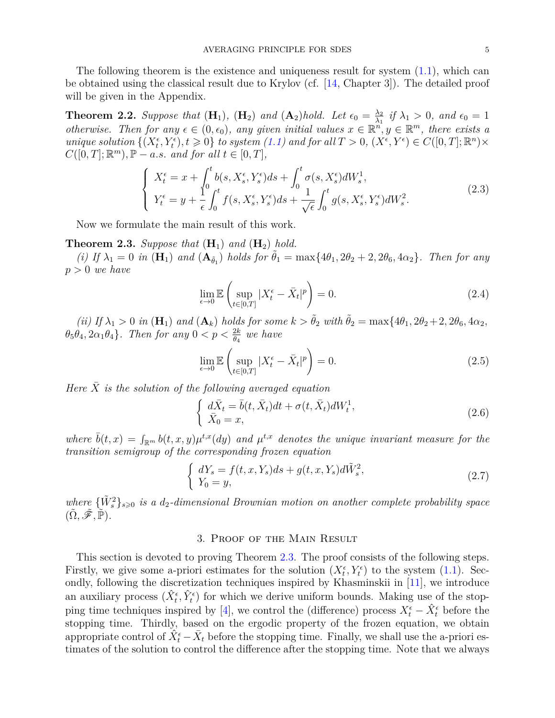The following theorem is the existence and uniqueness result for system  $(1.1)$ , which can be obtained using the classical result due to Krylov (cf. [\[14,](#page-28-15) Chapter 3]). The detailed proof will be given in the Appendix.

<span id="page-4-4"></span>**Theorem 2.2.** Suppose that  $(\mathbf{H}_1)$ ,  $(\mathbf{H}_2)$  and  $(\mathbf{A}_2)$  hold. Let  $\epsilon_0 = \frac{\lambda_2}{\lambda_1}$  $\frac{\lambda_2}{\lambda_1}$  *if*  $\lambda_1 > 0$ *, and*  $\epsilon_0 = 1$ *otherwise. Then for any*  $\epsilon \in (0, \epsilon_0)$ , any given initial values  $x \in \mathbb{R}^n$ ,  $y \in \mathbb{R}^m$ , there exists a  $unique \ solution \{(X_t^{\epsilon}, Y_t^{\epsilon}), t \geq 0\} \ to \ system \ (1.1) \ and \ for \ all \ T > 0, \ (X_t^{\epsilon}, Y_t^{\epsilon}) \in C([0, T]; \mathbb{R}^n) \times$  $unique \ solution \{(X_t^{\epsilon}, Y_t^{\epsilon}), t \geq 0\} \ to \ system \ (1.1) \ and \ for \ all \ T > 0, \ (X_t^{\epsilon}, Y_t^{\epsilon}) \in C([0, T]; \mathbb{R}^n) \times$  $unique \ solution \{(X_t^{\epsilon}, Y_t^{\epsilon}), t \geq 0\} \ to \ system \ (1.1) \ and \ for \ all \ T > 0, \ (X_t^{\epsilon}, Y_t^{\epsilon}) \in C([0, T]; \mathbb{R}^n) \times$  $C([0, T]; \mathbb{R}^m)$ ,  $\mathbb{P} - a.s.$  *and for all*  $t \in [0, T]$ *,* 

$$
\begin{cases}\nX_t^{\epsilon} = x + \int_0^t b(s, X_s^{\epsilon}, Y_s^{\epsilon}) ds + \int_0^t \sigma(s, X_s^{\epsilon}) dW_s^1, \\
Y_t^{\epsilon} = y + \frac{1}{\epsilon} \int_0^t f(s, X_s^{\epsilon}, Y_s^{\epsilon}) ds + \frac{1}{\sqrt{\epsilon}} \int_0^t g(s, X_s^{\epsilon}, Y_s^{\epsilon}) dW_s^2.\n\end{cases} \tag{2.3}
$$

Now we formulate the main result of this work.

### <span id="page-4-1"></span>**Theorem 2.3.** *Suppose that*  $(H_1)$  *and*  $(H_2)$  *hold.*

 $(i)$  If  $\lambda_1 = 0$  *in*  $(\mathbf{H}_1)$  *and*  $(\mathbf{A}_{\tilde{\theta}_1})$  *holds for*  $\tilde{\theta}_1 = \max\{4\theta_1, 2\theta_2 + 2, 2\theta_6, 4\alpha_2\}$ *. Then for any p >* 0 *we have*

<span id="page-4-2"></span>
$$
\lim_{\epsilon \to 0} \mathbb{E} \left( \sup_{t \in [0,T]} |X_t^{\epsilon} - \bar{X}_t|^p \right) = 0. \tag{2.4}
$$

(ii) If  $\lambda_1 > 0$  in  $(\mathbf{H}_1)$  and  $(\mathbf{A}_k)$  holds for some  $k > \tilde{\theta}_2$  with  $\tilde{\theta}_2 = \max\{4\theta_1, 2\theta_2 + 2, 2\theta_6, 4\alpha_2,$  $\theta_5 \theta_4$ ,  $2\alpha_1 \theta_4$ }*. Then for any*  $0 < p < \frac{2k}{\theta_4}$  we have

<span id="page-4-3"></span>
$$
\lim_{\epsilon \to 0} \mathbb{E} \left( \sup_{t \in [0,T]} |X_t^{\epsilon} - \bar{X}_t|^p \right) = 0. \tag{2.5}
$$

*Here*  $\overline{X}$  *is the solution of the following averaged equation* 

$$
\begin{cases}\n d\bar{X}_t = \bar{b}(t, \bar{X}_t)dt + \sigma(t, \bar{X}_t)dW_t^1, \\
 \bar{X}_0 = x,\n\end{cases} \n\tag{2.6}
$$

where  $\bar{b}(t,x) = \int_{\mathbb{R}^m} b(t,x,y) \mu^{t,x}(dy)$  and  $\mu^{t,x}$  denotes the unique invariant measure for the *transition semigroup of the corresponding frozen equation*

<span id="page-4-0"></span>
$$
\begin{cases}\ndY_s = f(t, x, Y_s)ds + g(t, x, Y_s)d\tilde{W}_s^2, \\
Y_0 = y,\n\end{cases} \n(2.7)
$$

 $where \{\tilde{W}_s^2\}_{s\geqslant0}$  *is a*  $d_2$ -dimensional Brownian motion on another complete probability space  $(\tilde{\Omega}, \tilde{\mathscr{F}}, \tilde{\mathbb{P}})$ .

## 3. Proof of the Main Result

This section is devoted to proving Theorem [2.3.](#page-4-1) The proof consists of the following steps. Firstly, we give some a-priori estimates for the solution  $(X_t^{\epsilon}, Y_t^{\epsilon})$  to the system [\(1.1\)](#page-0-0). Secondly, following the discretization techniques inspired by Khasminskii in [\[11\]](#page-28-7), we introduce an auxiliary process  $(\hat{X}_t^{\epsilon}, \hat{Y}_t^{\epsilon})$  for which we derive uniform bounds. Making use of the stop-ping time techniques inspired by [\[4\]](#page-28-16), we control the (difference) process  $X_t^{\epsilon} - \hat{X}_t^{\epsilon}$  before the stopping time. Thirdly, based on the ergodic property of the frozen equation, we obtain appropriate control of  $\hat{X}_{t}^{\epsilon} - \bar{X}_{t}$  before the stopping time. Finally, we shall use the a-priori estimates of the solution to control the difference after the stopping time. Note that we always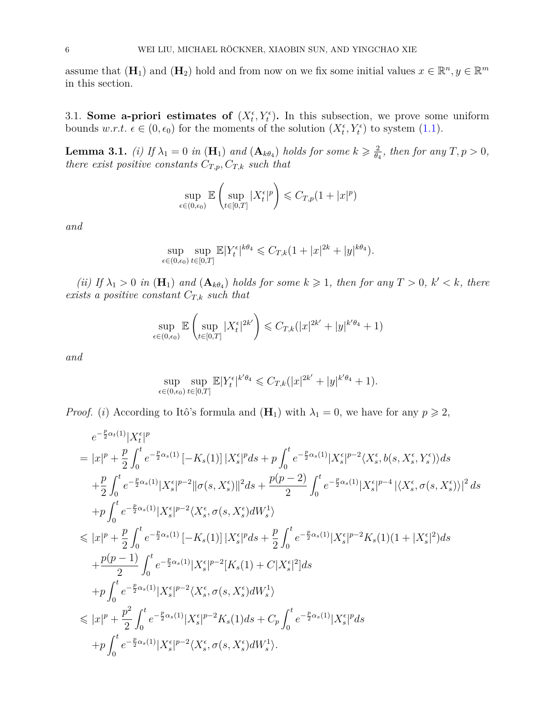assume that  $(\mathbf{H}_1)$  and  $(\mathbf{H}_2)$  hold and from now on we fix some initial values  $x \in \mathbb{R}^n, y \in \mathbb{R}^m$ in this section.

3.1. **Some a-priori estimates of**  $(X_t^{\epsilon}, Y_t^{\epsilon})$ . In this subsection, we prove some uniform bounds  $w.r.t. \epsilon \in (0, \epsilon_0)$  for the moments of the solution  $(X_t^{\epsilon}, Y_t^{\epsilon})$  to system [\(1.1\)](#page-0-0).

<span id="page-5-0"></span>**Lemma 3.1.** *(i)* If  $\lambda_1 = 0$  *in* ( $\mathbf{H}_1$ ) *and*  $(\mathbf{A}_{k\theta_4})$  *holds for some*  $k \geqslant \frac{2}{\theta_k}$  $\frac{2}{\theta_4}$ *, then for any*  $T, p > 0$ *, there exist positive constants*  $C_{T,p}$ *,*  $C_{T,k}$  *such that* 

$$
\sup_{\epsilon \in (0,\epsilon_0)} \mathbb{E} \left( \sup_{t \in [0,T]} |X_t^{\epsilon}|^p \right) \leqslant C_{T,p} (1+|x|^p)
$$

*and*

$$
\sup_{\epsilon \in (0,\epsilon_0)} \sup_{t \in [0,T]} \mathbb{E} |Y_t^{\epsilon}|^{k\theta_4} \leq C_{T,k} (1+|x|^{2k}+|y|^{k\theta_4}).
$$

*(ii)* If  $\lambda_1 > 0$  *in*  $(\mathbf{H}_1)$  *and*  $(\mathbf{A}_{k\theta_4})$  *holds for some*  $k \geq 1$ *, then for any*  $T > 0$ *,*  $k' < k$ *, there exists a positive constant*  $C_{T,k}$  *such that* 

$$
\sup_{\epsilon \in (0,\epsilon_0)} \mathbb{E} \left( \sup_{t \in [0,T]} |X_t^{\epsilon}|^{2k'} \right) \leq C_{T,k} (|x|^{2k'} + |y|^{k'\theta_4} + 1)
$$

*and*

$$
\sup_{\epsilon \in (0,\epsilon_0)} \sup_{t \in [0,T]} \mathbb{E}|Y_t^{\epsilon}|^{k'\theta_4} \leq C_{T,k}(|x|^{2k'} + |y|^{k'\theta_4} + 1).
$$

*Proof.* (*i*) According to Itô's formula and  $(\mathbf{H}_1)$  with  $\lambda_1 = 0$ , we have for any  $p \geq 2$ ,

$$
\begin{split} &e^{-\frac{p}{2}\alpha_t(1)}|X^\epsilon_t|^p\\ &=|x|^p+\frac{p}{2}\int_0^t e^{-\frac{p}{2}\alpha_s(1)}\left[-K_s(1)\right]|X^\epsilon_s|^pds+p\int_0^t e^{-\frac{p}{2}\alpha_s(1)}|X^\epsilon_s|^{p-2}\langle X^\epsilon_s,b(s,X^\epsilon_s,Y^\epsilon_s)\rangle ds\\ &+\frac{p}{2}\int_0^t e^{-\frac{p}{2}\alpha_s(1)}|X^\epsilon_s|^{p-2}\|\sigma(s,X^\epsilon_s)\|^2ds+\frac{p(p-2)}{2}\int_0^t e^{-\frac{p}{2}\alpha_s(1)}|X^\epsilon_s|^{p-4}\left|\langle X^\epsilon_s,\sigma(s,X^\epsilon_s)\rangle\right|^2ds\\ &+p\int_0^t e^{-\frac{p}{2}\alpha_s(1)}|X^\epsilon_s|^{p-2}\langle X^\epsilon_s,\sigma(s,X^\epsilon_s)dW^\text{1}_s\rangle\\ &\leqslant |x|^p+\frac{p}{2}\int_0^t e^{-\frac{p}{2}\alpha_s(1)}\left[-K_s(1)\right]|X^\epsilon_s|^pds+\frac{p}{2}\int_0^t e^{-\frac{p}{2}\alpha_s(1)}|X^\epsilon_s|^{p-2}K_s(1)(1+|X^\epsilon_s|^2)ds\\ &+\frac{p(p-1)}{2}\int_0^t e^{-\frac{p}{2}\alpha_s(1)}|X^\epsilon_s|^{p-2}[K_s(1)+C|X^\epsilon_s|^2]ds\\ &+p\int_0^t e^{-\frac{p}{2}\alpha_s(1)}|X^\epsilon_s|^{p-2}\langle X^\epsilon_s,\sigma(s,X^\epsilon_s)dW^\text{1}_s\rangle\\ &\leqslant |x|^p+\frac{p^2}{2}\int_0^t e^{-\frac{p}{2}\alpha_s(1)}|X^\epsilon_s|^{p-2}K_s(1)ds+C_p\int_0^t e^{-\frac{p}{2}\alpha_s(1)}|X^\epsilon_s|^pds\\ &+p\int_0^t e^{-\frac{p}{2}\alpha_s(1)}|X^\epsilon_s|^{p-2}\langle X^\epsilon_s,\sigma(s,X^\epsilon_s)dW^\text{1}_s\rangle.\end{split}
$$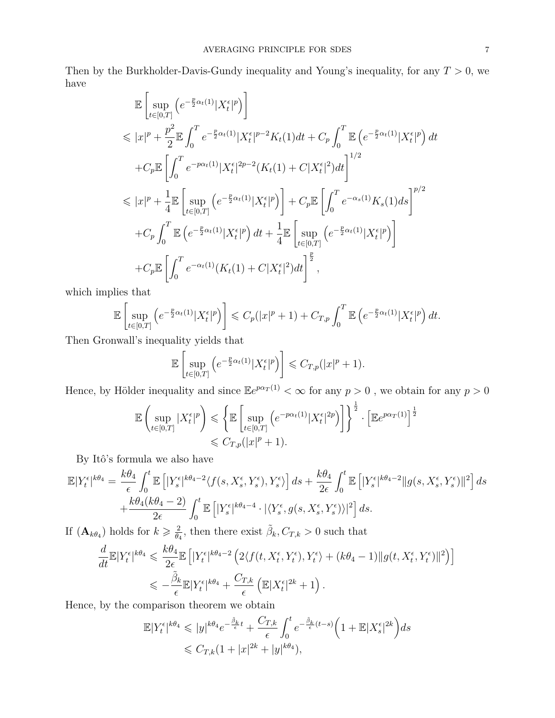Then by the Burkholder-Davis-Gundy inequality and Young's inequality, for any *T >* 0, we have

$$
\mathbb{E}\left[\sup_{t\in[0,T]} \left(e^{-\frac{p}{2}\alpha_t(1)}|X_t^{\epsilon}|^p\right)\right]
$$
\n
$$
\leq |x|^p + \frac{p^2}{2}\mathbb{E}\int_0^T e^{-\frac{p}{2}\alpha_t(1)}|X_t^{\epsilon}|^{p-2}K_t(1)dt + C_p\int_0^T \mathbb{E}\left(e^{-\frac{p}{2}\alpha_t(1)}|X_t^{\epsilon}|^p\right)dt
$$
\n
$$
+ C_p \mathbb{E}\left[\int_0^T e^{-p\alpha_t(1)}|X_t^{\epsilon}|^{2p-2}(K_t(1)+C|X_t^{\epsilon}|^2)dt\right]^{1/2}
$$
\n
$$
\leq |x|^p + \frac{1}{4}\mathbb{E}\left[\sup_{t\in[0,T]} \left(e^{-\frac{p}{2}\alpha_t(1)}|X_t^{\epsilon}|^p\right)\right] + C_p \mathbb{E}\left[\int_0^T e^{-\alpha_s(1)}K_s(1)ds\right]^{p/2}
$$
\n
$$
+ C_p \int_0^T \mathbb{E}\left(e^{-\frac{p}{2}\alpha_t(1)}|X_t^{\epsilon}|^p\right)dt + \frac{1}{4}\mathbb{E}\left[\sup_{t\in[0,T]} \left(e^{-\frac{p}{2}\alpha_t(1)}|X_t^{\epsilon}|^p\right)\right]
$$
\n
$$
+ C_p \mathbb{E}\left[\int_0^T e^{-\alpha_t(1)}(K_t(1)+C|X_t^{\epsilon}|^2)dt\right]^{\frac{p}{2}},
$$

which implies that

$$
\mathbb{E}\left[\sup_{t\in[0,T]}\left(e^{-\frac{p}{2}\alpha_t(1)}|X_t^{\epsilon}|^p\right)\right] \leqslant C_p(|x|^p+1) + C_{T,p}\int_0^T \mathbb{E}\left(e^{-\frac{p}{2}\alpha_t(1)}|X_t^{\epsilon}|^p\right)dt.
$$

Then Gronwall's inequality yields that

$$
\mathbb{E}\left[\sup_{t\in[0,T]}\left(e^{-\frac{p}{2}\alpha_t(1)}|X_t^{\epsilon}|^p\right)\right] \leqslant C_{T,p}(|x|^p+1).
$$

Hence, by Hölder inequality and since  $\mathbb{E}e^{p\alpha_T(1)} < \infty$  for any  $p > 0$ , we obtain for any  $p > 0$ 

$$
\begin{split} \mathbb{E}\left(\sup_{t\in[0,T]}|X_t^{\epsilon}|^p\right) &\leqslant \left\{\mathbb{E}\left[\sup_{t\in[0,T]}\left(e^{-p\alpha_t(1)}|X_t^{\epsilon}|^{2p}\right)\right]\right\}^{\frac{1}{2}}\cdot\left[\mathbb{E}e^{p\alpha_T(1)}\right]^{\frac{1}{2}}\\ &\leqslant C_{T,p}(|x|^p+1). \end{split}
$$

By Itô's formula we also have

$$
\mathbb{E}|Y_t^{\epsilon}|^{k\theta_4} = \frac{k\theta_4}{\epsilon} \int_0^t \mathbb{E}\left[|Y_s^{\epsilon}|^{k\theta_4-2} \langle f(s, X_s^{\epsilon}, Y_s^{\epsilon}), Y_s^{\epsilon} \rangle\right] ds + \frac{k\theta_4}{2\epsilon} \int_0^t \mathbb{E}\left[|Y_s^{\epsilon}|^{k\theta_4-2}\|g(s, X_s^{\epsilon}, Y_s^{\epsilon})\|^2\right] ds + \frac{k\theta_4(k\theta_4-2)}{2\epsilon} \int_0^t \mathbb{E}\left[|Y_s^{\epsilon}|^{k\theta_4-4} \cdot |\langle Y_s^{\epsilon}, g(s, X_s^{\epsilon}, Y_s^{\epsilon})\rangle|^2\right] ds.
$$

If  $(\mathbf{A}_{k\theta_4})$  holds for  $k \geqslant \frac{2}{\theta}$  $\frac{2}{\theta_4}$ , then there exist  $\tilde{\beta}_k$ ,  $C_{T,k} > 0$  such that

$$
\frac{d}{dt} \mathbb{E}|Y_t^{\epsilon}|^{k\theta_4} \leq \frac{k\theta_4}{2\epsilon} \mathbb{E}\left[|Y_t^{\epsilon}|^{k\theta_4-2} \left(2\langle f(t, X_t^{\epsilon}, Y_t^{\epsilon}), Y_t^{\epsilon}\rangle + (k\theta_4 - 1) \|g(t, X_t^{\epsilon}, Y_t^{\epsilon})\|^2\right)\right]
$$
  

$$
\leq -\frac{\tilde{\beta}_k}{\epsilon} \mathbb{E}|Y_t^{\epsilon}|^{k\theta_4} + \frac{C_{T,k}}{\epsilon} \left(\mathbb{E}|X_t^{\epsilon}|^{2k} + 1\right).
$$

Hence, by the comparison theorem we obtain

$$
\mathbb{E}|Y_t^{\epsilon}|^{k\theta_4} \leqslant |y|^{k\theta_4} e^{-\frac{\tilde{\beta}_k}{\epsilon}t} + \frac{C_{T,k}}{\epsilon} \int_0^t e^{-\frac{\tilde{\beta}_k}{\epsilon}(t-s)} \left(1 + \mathbb{E}|X_s^{\epsilon}|^{2k}\right) ds
$$
  

$$
\leqslant C_{T,k} (1+|x|^{2k}+|y|^{k\theta_4}),
$$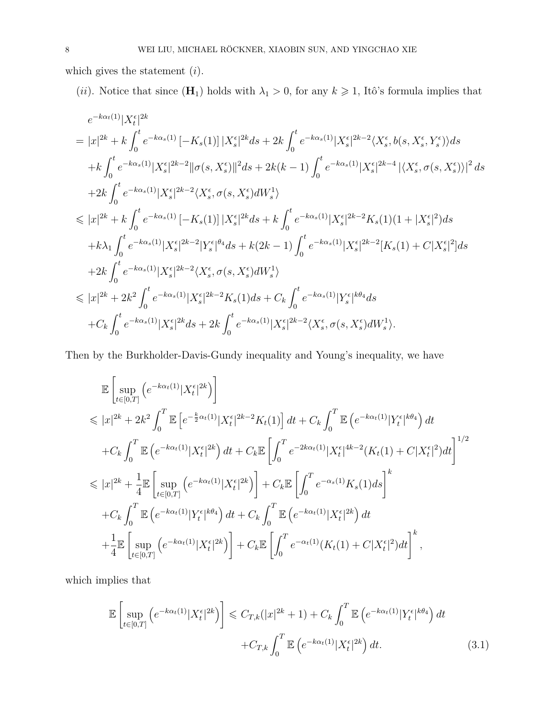which gives the statement (*i*).

(*ii*). Notice that since  $(\mathbf{H}_1)$  holds with  $\lambda_1 > 0$ , for any  $k \geq 1$ , Itô's formula implies that

$$
\begin{split} & e^{-k\alpha_t(1)}|X_t^\epsilon|^{2k} \\ &= |x|^{2k}+k\int_0^t e^{-k\alpha_s(1)}\left[-K_s(1)\right]|X_s^\epsilon|^{2k}ds+2k\int_0^t e^{-k\alpha_s(1)}|X_s^\epsilon|^{2k-2}\langle X_s^\epsilon, b(s,X_s^\epsilon,Y_s^\epsilon)\rangle ds \\ & +k\int_0^t e^{-k\alpha_s(1)}|X_s^\epsilon|^{2k-2}\|\sigma(s,X_s^\epsilon)\|^2ds+2k(k-1)\int_0^t e^{-k\alpha_s(1)}|X_s^\epsilon|^{2k-4}\left|\langle X_s^\epsilon, \sigma(s,X_s^\epsilon)\rangle\right|^2ds \\ & +2k\int_0^t e^{-k\alpha_s(1)}|X_s^\epsilon|^{2k-2}\langle X_s^\epsilon, \sigma(s,X_s^\epsilon)dW_s^1\rangle \\ & \leq |x|^{2k}+k\int_0^t e^{-k\alpha_s(1)}\left[-K_s(1)\right]|X_s^\epsilon|^{2k}ds+k\int_0^t e^{-k\alpha_s(1)}|X_s^\epsilon|^{2k-2}K_s(1)(1+|X_s^\epsilon|^2)ds \\ & +k\lambda_1\int_0^t e^{-k\alpha_s(1)}|X_s^\epsilon|^{2k-2}|Y_s^\epsilon|^{\theta_4}ds+k(2k-1)\int_0^t e^{-k\alpha_s(1)}|X_s^\epsilon|^{2k-2}[K_s(1)+C|X_s^\epsilon|^2]ds \\ & +2k\int_0^t e^{-k\alpha_s(1)}|X_s^\epsilon|^{2k-2}\langle X_s^\epsilon, \sigma(s,X_s^\epsilon)dW_s^1\rangle \\ & \leq |x|^{2k}+2k^2\int_0^t e^{-k\alpha_s(1)}|X_s^\epsilon|^{2k-2}K_s(1)ds+C_k\int_0^t e^{-k\alpha_s(1)}|Y_s^\epsilon|^{k\theta_4}ds \\ & +C_k\int_0^t e^{-k\alpha_s(1)}|X_s^\epsilon|^{2k}ds+2k\int_0^t e^{-k\alpha_s(1)}|X_s^\epsilon|^{2k-2}\langle X_s^\epsilon, \sigma(s,X_s^\epsilon)dW_s^1\rangle. \end{split}
$$

Then by the Burkholder-Davis-Gundy inequality and Young's inequality, we have

$$
\mathbb{E}\left[\sup_{t\in[0,T]} \left(e^{-k\alpha_t(1)}|X_t^{\epsilon}|^{2k}\right)\right] \n\leq |x|^{2k} + 2k^2 \int_0^T \mathbb{E}\left[e^{-\frac{k}{2}\alpha_t(1)}|X_t^{\epsilon}|^{2k-2}K_t(1)\right]dt + C_k \int_0^T \mathbb{E}\left(e^{-k\alpha_t(1)}|Y_t^{\epsilon}|^{k\theta_4}\right)dt \n+ C_k \int_0^T \mathbb{E}\left(e^{-k\alpha_t(1)}|X_t^{\epsilon}|^{2k}\right)dt + C_k \mathbb{E}\left[\int_0^T e^{-2k\alpha_t(1)}|X_t^{\epsilon}|^{4k-2}(K_t(1)+C|X_t^{\epsilon}|^2)dt\right]^{1/2} \n\leq |x|^{2k} + \frac{1}{4}\mathbb{E}\left[\sup_{t\in[0,T]} \left(e^{-k\alpha_t(1)}|X_t^{\epsilon}|^{2k}\right)\right] + C_k \mathbb{E}\left[\int_0^T e^{-\alpha_s(1)}K_s(1)ds\right]^k \n+ C_k \int_0^T \mathbb{E}\left(e^{-k\alpha_t(1)}|Y_t^{\epsilon}|^{k\theta_4}\right)dt + C_k \int_0^T \mathbb{E}\left(e^{-k\alpha_t(1)}|X_t^{\epsilon}|^{2k}\right)dt \n+ \frac{1}{4}\mathbb{E}\left[\sup_{t\in[0,T]} \left(e^{-k\alpha_t(1)}|X_t^{\epsilon}|^{2k}\right)\right] + C_k \mathbb{E}\left[\int_0^T e^{-\alpha_t(1)}(K_t(1)+C|X_t^{\epsilon}|^2)dt\right]^k,
$$

which implies that

<span id="page-7-0"></span>
$$
\mathbb{E}\left[\sup_{t\in[0,T]} \left(e^{-k\alpha_t(1)}|X_t^{\epsilon}|^{2k}\right)\right] \leq C_{T,k}(|x|^{2k}+1) + C_k \int_0^T \mathbb{E}\left(e^{-k\alpha_t(1)}|Y_t^{\epsilon}|^{k\theta_4}\right)dt
$$

$$
+ C_{T,k} \int_0^T \mathbb{E}\left(e^{-k\alpha_t(1)}|X_t^{\epsilon}|^{2k}\right)dt.
$$
(3.1)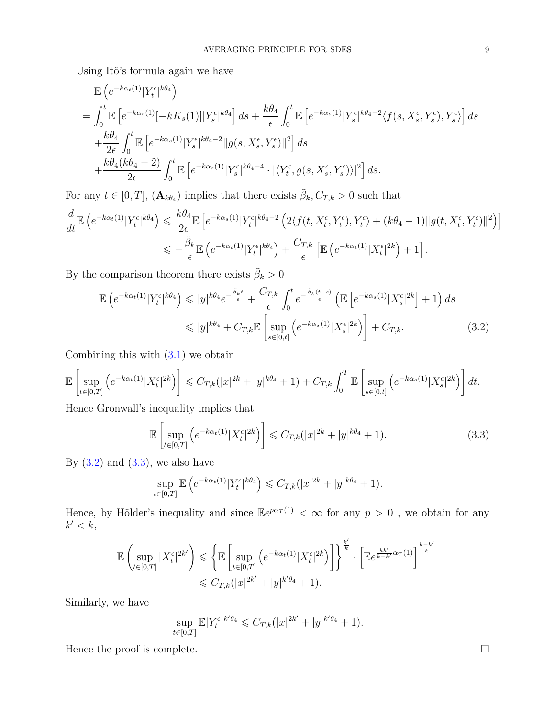Using Itô's formula again we have

$$
\mathbb{E}\left(e^{-k\alpha_t(1)}|Y_t^{\epsilon}|^{k\theta_4}\right)
$$
\n
$$
= \int_0^t \mathbb{E}\left[e^{-k\alpha_s(1)}[-kK_s(1)]|Y_s^{\epsilon}|^{k\theta_4}\right]ds + \frac{k\theta_4}{\epsilon} \int_0^t \mathbb{E}\left[e^{-k\alpha_s(1)}|Y_s^{\epsilon}|^{k\theta_4-2}\langle f(s,X_s^{\epsilon},Y_s^{\epsilon}),Y_s^{\epsilon}\rangle\right]ds
$$
\n
$$
+ \frac{k\theta_4}{2\epsilon} \int_0^t \mathbb{E}\left[e^{-k\alpha_s(1)}|Y_s^{\epsilon}|^{k\theta_4-2}\|g(s,X_s^{\epsilon},Y_s^{\epsilon})\|^2\right]ds
$$
\n
$$
+ \frac{k\theta_4(k\theta_4-2)}{2\epsilon} \int_0^t \mathbb{E}\left[e^{-k\alpha_s(1)}|Y_s^{\epsilon}|^{k\theta_4-4}\cdot|\langle Y_t^{\epsilon},g(s,X_s^{\epsilon},Y_s^{\epsilon})\rangle|^2\right]ds.
$$

For any  $t \in [0, T]$ ,  $(\mathbf{A}_{k\theta_4})$  implies that there exists  $\tilde{\beta}_k, C_{T,k} > 0$  such that

$$
\frac{d}{dt} \mathbb{E} \left( e^{-k\alpha_t(1)} |Y_t^{\epsilon}|^{k\theta_4} \right) \leqslant \frac{k\theta_4}{2\epsilon} \mathbb{E} \left[ e^{-k\alpha_s(1)} |Y_t^{\epsilon}|^{k\theta_4 - 2} \left( 2\langle f(t, X_t^{\epsilon}, Y_t^{\epsilon}), Y_t^{\epsilon} \rangle + (k\theta_4 - 1) ||g(t, X_t^{\epsilon}, Y_t^{\epsilon})||^2 \right) \right]
$$
\n
$$
\leqslant -\frac{\tilde{\beta}_k}{\epsilon} \mathbb{E} \left( e^{-k\alpha_t(1)} |Y_t^{\epsilon}|^{k\theta_4} \right) + \frac{C_{T,k}}{\epsilon} \left[ \mathbb{E} \left( e^{-k\alpha_t(1)} |X_t^{\epsilon}|^{2k} \right) + 1 \right].
$$

By the comparison theorem there exists  $\tilde{\beta}_k > 0$ 

<span id="page-8-0"></span>
$$
\mathbb{E}\left(e^{-k\alpha_t(1)}|Y_t^{\epsilon}|^{k\theta_4}\right) \leqslant |y|^{k\theta_4}e^{-\frac{\tilde{\beta}_k t}{\epsilon}} + \frac{C_{T,k}}{\epsilon} \int_0^t e^{-\frac{\tilde{\beta}_k(t-s)}{\epsilon}} \left(\mathbb{E}\left[e^{-k\alpha_s(1)}|X_s^{\epsilon}|^{2k}\right] + 1\right) ds
$$
  

$$
\leqslant |y|^{k\theta_4} + C_{T,k}\mathbb{E}\left[\sup_{s\in[0,t]} \left(e^{-k\alpha_s(1)}|X_s^{\epsilon}|^{2k}\right)\right] + C_{T,k}.
$$
 (3.2)

Combining this with  $(3.1)$  we obtain

$$
\mathbb{E}\left[\sup_{t\in[0,T]}\left(e^{-k\alpha_t(1)}|X_t^{\epsilon}|^{2k}\right)\right] \leqslant C_{T,k}(|x|^{2k}+|y|^{k\theta_4}+1)+C_{T,k}\int_0^T\mathbb{E}\left[\sup_{s\in[0,t]}\left(e^{-k\alpha_s(1)}|X_s^{\epsilon}|^{2k}\right)\right]dt.
$$

Hence Gronwall's inequality implies that

<span id="page-8-1"></span>
$$
\mathbb{E}\left[\sup_{t\in[0,T]} \left(e^{-k\alpha_t(1)}|X_t^{\epsilon}|^{2k}\right)\right] \leqslant C_{T,k}(|x|^{2k}+|y|^{k\theta_4}+1). \tag{3.3}
$$

By  $(3.2)$  and  $(3.3)$ , we also have

$$
\sup_{t\in[0,T]}\mathbb{E}\left(e^{-k\alpha_t(1)}|Y_t^{\epsilon}|^{k\theta_4}\right) \leqslant C_{T,k}(|x|^{2k}+|y|^{k\theta_4}+1).
$$

Hence, by Hölder's inequality and since  $\mathbb{E}e^{p\alpha_T(1)} < \infty$  for any  $p > 0$ , we obtain for any  $k' < k$ ,

$$
\mathbb{E}\left(\sup_{t\in[0,T]}|X_t^{\epsilon}|^{2k'}\right) \leqslant \left\{\mathbb{E}\left[\sup_{t\in[0,T]} \left(e^{-k\alpha_t(1)}|X_t^{\epsilon}|^{2k}\right)\right]\right\}^{\frac{k'}{k}}\cdot \left[\mathbb{E}e^{\frac{kk'}{k-k'}\alpha_T(1)}\right]^{\frac{k-k'}{k}} \leqslant C_{T,k}(|x|^{2k'}+|y|^{k'\theta_4}+1).
$$

Similarly, we have

$$
\sup_{t \in [0,T]} \mathbb{E} |Y_t^{\epsilon}|^{k' \theta_4} \leq C_{T,k} (|x|^{2k'} + |y|^{k' \theta_4} + 1).
$$

Hence the proof is complete.  $\Box$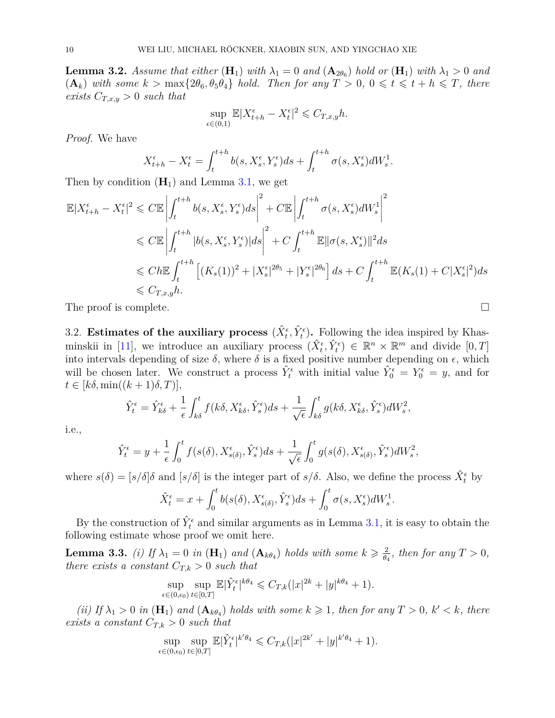<span id="page-9-0"></span>**Lemma 3.2.** *Assume that either*  $(H_1)$  *with*  $\lambda_1 = 0$  *and*  $(A_{2\theta_6})$  *hold or*  $(H_1)$  *with*  $\lambda_1 > 0$  *and*  $(\mathbf{A}_k)$  with some  $k > \max\{2\theta_6, \theta_5\theta_4\}$  hold. Then for any  $T > 0$ ,  $0 \leq t \leq t + h \leq T$ , there *exists*  $C_{T,x,y} > 0$  *such that* 

$$
\sup_{\epsilon \in (0,1)} \mathbb{E} |X_{t+h}^{\epsilon} - X_t^{\epsilon}|^2 \leq C_{T,x,y} h.
$$

*Proof.* We have

<span id="page-9-1"></span>
$$
X_{t+h}^{\epsilon} - X_t^{\epsilon} = \int_t^{t+h} b(s, X_s^{\epsilon}, Y_s^{\epsilon}) ds + \int_t^{t+h} \sigma(s, X_s^{\epsilon}) dW_s^1
$$

Then by condition  $(\mathbf{H}_1)$  and Lemma [3.1,](#page-5-0) we get

$$
\mathbb{E}|X_{t+h}^{\epsilon} - X_{t}^{\epsilon}|^{2} \leq C\mathbb{E}\left|\int_{t}^{t+h} b(s, X_{s}^{\epsilon}, Y_{s}^{\epsilon})ds\right|^{2} + C\mathbb{E}\left|\int_{t}^{t+h} \sigma(s, X_{s}^{\epsilon})dW_{s}^{1}\right|^{2}
$$
  
\n
$$
\leq C\mathbb{E}\left|\int_{t}^{t+h} |b(s, X_{s}^{\epsilon}, Y_{s}^{\epsilon})|ds\right|^{2} + C\int_{t}^{t+h} \mathbb{E}\|\sigma(s, X_{s}^{\epsilon})\|^{2}ds
$$
  
\n
$$
\leq Ch\mathbb{E}\int_{t}^{t+h} \left[ (K_{s}(1))^{2} + |X_{s}^{\epsilon}|^{2\theta_{5}} + |Y_{s}^{\epsilon}|^{2\theta_{6}} \right]ds + C\int_{t}^{t+h} \mathbb{E}(K_{s}(1) + C|X_{s}^{\epsilon}|^{2})ds
$$
  
\n
$$
\leq C_{T,x,y}h.
$$

The proof is complete.

3.2. **Estimates of the auxiliary process**  $(\hat{X}_t^{\epsilon}, \hat{Y}_t^{\epsilon})$ . Following the idea inspired by Khas-minskii in [\[11\]](#page-28-7), we introduce an auxiliary process  $(\hat{X}_t^{\epsilon}, \hat{Y}_t^{\epsilon}) \in \mathbb{R}^n \times \mathbb{R}^m$  and divide  $[0, T]$ into intervals depending of size  $\delta$ , where  $\delta$  is a fixed positive number depending on  $\epsilon$ , which will be chosen later. We construct a process  $\hat{Y}_t^{\epsilon}$  with initial value  $\hat{Y}_0^{\epsilon} = Y_0^{\epsilon} = y$ , and for  $t \in [k\delta, \min((k+1)\delta, T)],$ 

$$
\hat{Y}_t^{\epsilon} = \hat{Y}_{k\delta}^{\epsilon} + \frac{1}{\epsilon} \int_{k\delta}^t f(k\delta, X_{k\delta}^{\epsilon}, \hat{Y}_s^{\epsilon}) ds + \frac{1}{\sqrt{\epsilon}} \int_{k\delta}^t g(k\delta, X_{k\delta}^{\epsilon}, \hat{Y}_s^{\epsilon}) dW_s^2,
$$

i.e.,

$$
\hat{Y}_t^{\epsilon} = y + \frac{1}{\epsilon} \int_0^t f(s(\delta), X_{s(\delta)}^{\epsilon}, \hat{Y}_s^{\epsilon}) ds + \frac{1}{\sqrt{\epsilon}} \int_0^t g(s(\delta), X_{s(\delta)}^{\epsilon}, \hat{Y}_s^{\epsilon}) dW_s^2,
$$

where  $s(\delta) = [s/\delta] \delta$  and  $[s/\delta]$  is the integer part of  $s/\delta$ . Also, we define the process  $\hat{X}_t^{\epsilon}$  by

$$
\hat{X}_t^{\epsilon} = x + \int_0^t b(s(\delta), X_{s(\delta)}^{\epsilon}, \hat{Y}_s^{\epsilon}) ds + \int_0^t \sigma(s, X_s^{\epsilon}) dW_s^1
$$

By the construction of  $\hat{Y}_t^{\epsilon}$  and similar arguments as in Lemma [3.1,](#page-5-0) it is easy to obtain the following estimate whose proof we omit here.

<span id="page-9-2"></span>**Lemma 3.3.** *(i)* If  $\lambda_1 = 0$  *in*  $(\mathbf{H}_1)$  *and*  $(\mathbf{A}_{k\theta_4})$  *holds with some*  $k \geqslant \frac{2}{\theta_k}$  $\frac{2}{\theta_4}$ *, then for any*  $T > 0$ *, there exists a constant*  $C_{T,k} > 0$  *such that* 

$$
\sup_{\epsilon \in (0,\epsilon_0)} \sup_{t \in [0,T]} \mathbb{E} |\hat{Y}_t^{\epsilon}|^{k\theta_4} \leq C_{T,k} (|x|^{2k} + |y|^{k\theta_4} + 1).
$$

*(ii)* If  $\lambda_1 > 0$  *in*  $(\mathbf{H}_1)$  *and*  $(\mathbf{A}_{k\theta_4})$  *holds with some*  $k \geq 1$ *, then for any*  $T > 0$ *,*  $k' < k$ *, there exists a constant*  $C_{T,k} > 0$  *such that* 

$$
\sup_{\epsilon \in (0,\epsilon_0)} \sup_{t \in [0,T]} \mathbb{E} |\hat{Y}_t^{\epsilon}|^{k'\theta_4} \leqslant C_{T,k} (|x|^{2k'}+|y|^{k'\theta_4}+1).
$$

$$
\qquad \qquad \Box
$$

*.*

*.*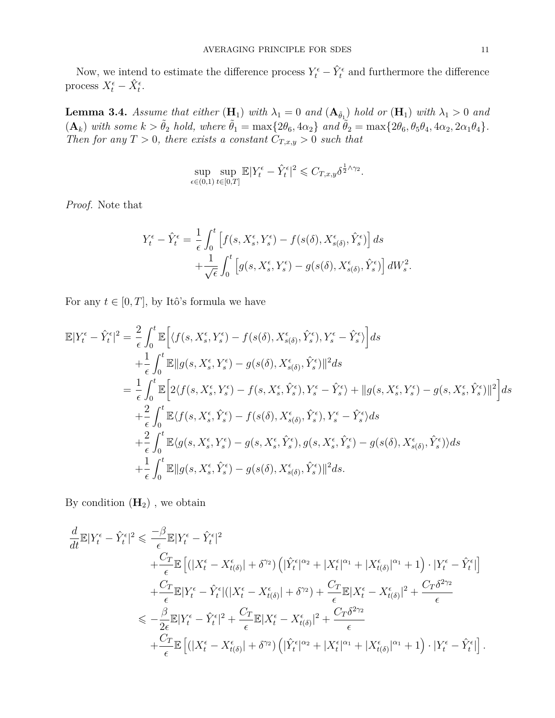Now, we intend to estimate the difference process  $Y_t^{\epsilon} - \hat{Y}_t^{\epsilon}$  and furthermore the difference process  $X_t^{\epsilon} - \hat{X}_t^{\epsilon}$ .

<span id="page-10-0"></span>**Lemma 3.4.** *Assume that either*  $(H_1)$  *with*  $\lambda_1 = 0$  *and*  $(A_{\tilde{\theta}_1})$  *hold or*  $(H_1)$  *with*  $\lambda_1 > 0$  *and*  $(\mathbf{A}_k)$  with some  $k > \tilde{\theta}_2$  hold, where  $\tilde{\theta}_1 = \max\{2\theta_6, 4\alpha_2\}$  and  $\tilde{\theta}_2 = \max\{2\theta_6, \theta_5\theta_4, 4\alpha_2, 2\alpha_1\theta_4\}.$ *Then for any*  $T > 0$ *, there exists a constant*  $C_{T,x,y} > 0$  *such that* 

$$
\sup_{\epsilon \in (0,1)} \sup_{t \in [0,T]} \mathbb{E}|Y_t^{\epsilon} - \hat{Y}_t^{\epsilon}|^2 \leq C_{T,x,y} \delta^{\frac{1}{2}\wedge \gamma_2}.
$$

*Proof.* Note that

$$
Y_t^{\epsilon} - \hat{Y}_t^{\epsilon} = \frac{1}{\epsilon} \int_0^t \left[ f(s, X_s^{\epsilon}, Y_s^{\epsilon}) - f(s(\delta), X_{s(\delta)}^{\epsilon}, \hat{Y}_s^{\epsilon}) \right] ds
$$
  
+ 
$$
\frac{1}{\sqrt{\epsilon}} \int_0^t \left[ g(s, X_s^{\epsilon}, Y_s^{\epsilon}) - g(s(\delta), X_{s(\delta)}^{\epsilon}, \hat{Y}_s^{\epsilon}) \right] dW_s^2.
$$

For any  $t \in [0, T]$ , by Itô's formula we have

$$
\mathbb{E}|Y_{t}^{\epsilon} - \hat{Y}_{t}^{\epsilon}|^{2} = \frac{2}{\epsilon} \int_{0}^{t} \mathbb{E}\Big[\langle f(s, X_{s}^{\epsilon}, Y_{s}^{\epsilon}) - f(s(\delta), X_{s(\delta)}^{\epsilon}, \hat{Y}_{s}^{\epsilon}), Y_{s}^{\epsilon} - \hat{Y}_{s}^{\epsilon}\rangle\Big]ds \n+ \frac{1}{\epsilon} \int_{0}^{t} \mathbb{E}\|g(s, X_{s}^{\epsilon}, Y_{s}^{\epsilon}) - g(s(\delta), X_{s(\delta)}^{\epsilon}, \hat{Y}_{s}^{\epsilon})\|^{2}ds \n= \frac{1}{\epsilon} \int_{0}^{t} \mathbb{E}\Big[2\langle f(s, X_{s}^{\epsilon}, Y_{s}^{\epsilon}) - f(s, X_{s}^{\epsilon}, \hat{Y}_{s}^{\epsilon}), Y_{s}^{\epsilon} - \hat{Y}_{s}^{\epsilon}\rangle + \|g(s, X_{s}^{\epsilon}, Y_{s}^{\epsilon}) - g(s, X_{s}^{\epsilon}, \hat{Y}_{s}^{\epsilon})\|^{2}\Big]ds \n+ \frac{2}{\epsilon} \int_{0}^{t} \mathbb{E}\langle f(s, X_{s}^{\epsilon}, \hat{Y}_{s}^{\epsilon}) - f(s(\delta), X_{s(\delta)}^{\epsilon}, \hat{Y}_{s}^{\epsilon}), Y_{s}^{\epsilon} - \hat{Y}_{s}^{\epsilon}\rangle ds \n+ \frac{2}{\epsilon} \int_{0}^{t} \mathbb{E}\langle g(s, X_{s}^{\epsilon}, Y_{s}^{\epsilon}) - g(s, X_{s}^{\epsilon}, \hat{Y}_{s}^{\epsilon}), g(s, X_{s}^{\epsilon}, \hat{Y}_{s}^{\epsilon}) - g(s(\delta), X_{s(\delta)}^{\epsilon}, \hat{Y}_{s}^{\epsilon})\rangle ds \n+ \frac{1}{\epsilon} \int_{0}^{t} \mathbb{E}\|g(s, X_{s}^{\epsilon}, \hat{Y}_{s}^{\epsilon}) - g(s(\delta), X_{s(\delta)}^{\epsilon}, \hat{Y}_{s}^{\epsilon})\|^{2}ds.
$$

By condition  $(\mathbf{H}_2)$  , we obtain

$$
\frac{d}{dt}\mathbb{E}|Y_t^{\epsilon} - \hat{Y}_t^{\epsilon}|^2 \leq \frac{-\beta}{\epsilon}\mathbb{E}|Y_t^{\epsilon} - \hat{Y}_t^{\epsilon}|^2 \n+ \frac{C_T}{\epsilon}\mathbb{E}\left[\left(|X_t^{\epsilon} - X_{t(\delta)}^{\epsilon}| + \delta^{\gamma_2}\right)\left(|\hat{Y}_t^{\epsilon}|^{\alpha_2} + |X_t^{\epsilon}|^{\alpha_1} + |X_{t(\delta)}^{\epsilon}|^{\alpha_1} + 1\right) \cdot |Y_t^{\epsilon} - \hat{Y}_t^{\epsilon}|\right] \n+ \frac{C_T}{\epsilon}\mathbb{E}|Y_t^{\epsilon} - \hat{Y}_t^{\epsilon}|(|X_t^{\epsilon} - X_{t(\delta)}^{\epsilon}| + \delta^{\gamma_2}) + \frac{C_T}{\epsilon}\mathbb{E}|X_t^{\epsilon} - X_{t(\delta)}^{\epsilon}|^2 + \frac{C_T\delta^{2\gamma_2}}{\epsilon} \n\leq -\frac{\beta}{2\epsilon}\mathbb{E}|Y_t^{\epsilon} - \hat{Y}_t^{\epsilon}|^2 + \frac{C_T}{\epsilon}\mathbb{E}|X_t^{\epsilon} - X_{t(\delta)}^{\epsilon}|^2 + \frac{C_T\delta^{2\gamma_2}}{\epsilon} \n+ \frac{C_T}{\epsilon}\mathbb{E}\left[\left(|X_t^{\epsilon} - X_{t(\delta)}^{\epsilon}| + \delta^{\gamma_2}\right)\left(|\hat{Y}_t^{\epsilon}|^{\alpha_2} + |X_t^{\epsilon}|^{\alpha_1} + |X_{t(\delta)}^{\epsilon}|^{\alpha_1} + 1\right) \cdot |Y_t^{\epsilon} - \hat{Y}_t^{\epsilon}|\right].
$$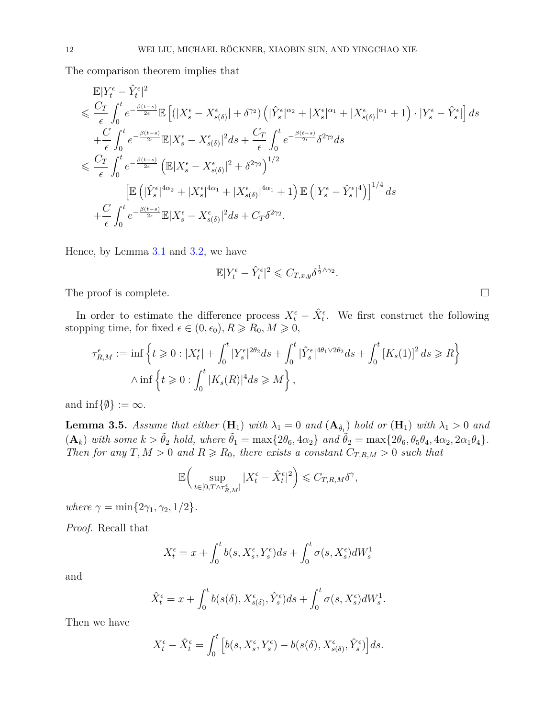The comparison theorem implies that

$$
\mathbb{E}|Y_t^{\epsilon} - \hat{Y}_t^{\epsilon}|^2
$$
\n
$$
\leq \frac{C_T}{\epsilon} \int_0^t e^{-\frac{\beta(t-s)}{2\epsilon}} \mathbb{E}\left[ (|X_s^{\epsilon} - X_{s(\delta)}^{\epsilon}| + \delta^{\gamma_2}) \left( |\hat{Y}_s^{\epsilon}|^{\alpha_2} + |X_s^{\epsilon}|^{\alpha_1} + |X_{s(\delta)}^{\epsilon}|^{\alpha_1} + 1 \right) \cdot |Y_s^{\epsilon} - \hat{Y}_s^{\epsilon}| \right] ds
$$
\n
$$
+ \frac{C}{\epsilon} \int_0^t e^{-\frac{\beta(t-s)}{2\epsilon}} \mathbb{E}|X_s^{\epsilon} - X_{s(\delta)}^{\epsilon}|^2 ds + \frac{C_T}{\epsilon} \int_0^t e^{-\frac{\beta(t-s)}{2\epsilon}} \delta^{2\gamma_2} ds
$$
\n
$$
\leq \frac{C_T}{\epsilon} \int_0^t e^{-\frac{\beta(t-s)}{2\epsilon}} \left( \mathbb{E}|X_s^{\epsilon} - X_{s(\delta)}^{\epsilon}|^2 + \delta^{2\gamma_2} \right)^{1/2}
$$
\n
$$
\left[ \mathbb{E}\left( |\hat{Y}_s^{\epsilon}|^{4\alpha_2} + |X_s^{\epsilon}|^{4\alpha_1} + |X_{s(\delta)}^{\epsilon}|^{4\alpha_1} + 1 \right) \mathbb{E}\left( |Y_s^{\epsilon} - \hat{Y}_s^{\epsilon}|^4 \right) \right]^{1/4} ds
$$
\n
$$
+ \frac{C}{\epsilon} \int_0^t e^{-\frac{\beta(t-s)}{2\epsilon}} \mathbb{E}|X_s^{\epsilon} - X_{s(\delta)}^{\epsilon}|^2 ds + C_T \delta^{2\gamma_2}.
$$

Hence, by Lemma [3.1](#page-5-0) and [3.2,](#page-9-0) we have

$$
\mathbb{E}|Y_t^\epsilon-\hat{Y}_t^\epsilon|^2\leqslant C_{T,x,y}\delta^{\frac{1}{2}\wedge\gamma_2}
$$

*.*

The proof is complete.

In order to estimate the difference process  $X_t^{\epsilon} - \hat{X}_t^{\epsilon}$ . We first construct the following stopping time, for fixed  $\epsilon \in (0, \epsilon_0), R \ge R_0, M \ge 0$ ,

$$
\tau_{R,M}^{\epsilon} := \inf \left\{ t \geqslant 0 : |X_t^{\epsilon}| + \int_0^t |Y_s^{\epsilon}|^{2\theta_2} ds + \int_0^t |\hat{Y}_s^{\epsilon}|^{4\theta_1 \vee 2\theta_2} ds + \int_0^t [K_s(1)]^2 ds \geqslant R \right\}
$$
  
 
$$
\wedge \inf \left\{ t \geqslant 0 : \int_0^t |K_s(R)|^4 ds \geqslant M \right\},\
$$

and  $\inf\{\emptyset\} := \infty$ .

<span id="page-11-0"></span>**Lemma 3.5.** *Assume that either*  $(H_1)$  *with*  $\lambda_1 = 0$  *and*  $(A_{\tilde{\theta}_1})$  *hold or*  $(H_1)$  *with*  $\lambda_1 > 0$  *and*  $(\mathbf{A}_k)$  with some  $k > \tilde{\theta}_2$  hold, where  $\tilde{\theta}_1 = \max\{2\theta_6, 4\alpha_2\}$  and  $\tilde{\theta}_2 = \max\{2\theta_6, \theta_5\theta_4, 4\alpha_2, 2\alpha_1\theta_4\}.$ *Then for any*  $T, M > 0$  *and*  $R \ge R_0$ *, there exists a constant*  $C_{T,R,M} > 0$  *such that* 

$$
\mathbb{E}\bigg(\sup_{t\in[0,T\wedge\tau_{R,M}^\epsilon]}|X_t^\epsilon-\hat{X}_t^\epsilon|^2\bigg)\leqslant C_{T,R,M}\delta^\gamma,
$$

*where*  $\gamma = \min\{2\gamma_1, \gamma_2, 1/2\}.$ 

*Proof.* Recall that

$$
X_t^{\epsilon} = x + \int_0^t b(s, X_s^{\epsilon}, Y_s^{\epsilon}) ds + \int_0^t \sigma(s, X_s^{\epsilon}) dW_s^1
$$

and

$$
\hat{X}_t^{\epsilon} = x + \int_0^t b(s(\delta), X_{s(\delta)}^{\epsilon}, \hat{Y}_s^{\epsilon}) ds + \int_0^t \sigma(s, X_s^{\epsilon}) dW_s^1.
$$

Then we have

$$
X_t^{\epsilon} - \hat{X}_t^{\epsilon} = \int_0^t \left[ b(s, X_s^{\epsilon}, Y_s^{\epsilon}) - b(s(\delta), X_{s(\delta)}^{\epsilon}, \hat{Y}_s^{\epsilon}) \right] ds.
$$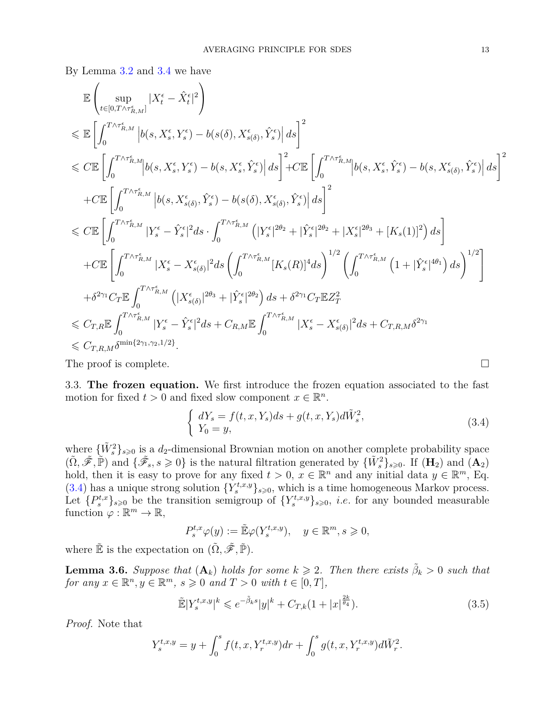By Lemma [3.2](#page-9-0) and [3.4](#page-10-0) we have

$$
\begin{split} &\mathbb{E}\left(\sup_{t\in[0,T\wedge\tau_{R,M}^{\epsilon}]}|X_{t}^{\epsilon}-\hat{X}_{t}^{\epsilon}|^{2}\right)\\ &\leqslant \mathbb{E}\left[\int_{0}^{T\wedge\tau_{R,M}^{\epsilon}}\left|b(s,X_{s}^{\epsilon},Y_{s}^{\epsilon})-b(s(\delta),X_{s(\delta)}^{\epsilon},\hat{Y}_{s}^{\epsilon})\right|ds\right]^{2}\\ &\leqslant C\mathbb{E}\left[\int_{0}^{T\wedge\tau_{R,M}^{\epsilon}}\left|b(s,X_{s}^{\epsilon},Y_{s}^{\epsilon})-b(s,X_{s}^{\epsilon},\hat{Y}_{s}^{\epsilon})\right|ds\right]^{2}+C\mathbb{E}\left[\int_{0}^{T\wedge\tau_{R,M}^{\epsilon}}\left|b(s,X_{s}^{\epsilon},Y_{s}^{\epsilon})-b(s,X_{s(\delta)}^{\epsilon},\hat{Y}_{s}^{\epsilon})\right|ds\right]^{2}\\ &+C\mathbb{E}\left[\int_{0}^{T\wedge\tau_{R,M}^{\epsilon}}\left|b(s,X_{s(\delta)}^{\epsilon},\hat{Y}_{s}^{\epsilon})-b(s(\delta),X_{s(\delta)}^{\epsilon},\hat{Y}_{s}^{\epsilon})\right|ds\right]^{2}\\ &\leqslant C\mathbb{E}\left[\int_{0}^{T\wedge\tau_{R,M}^{\epsilon}}|Y_{s}^{\epsilon}-\hat{Y}_{s}^{\epsilon}|^{2}ds\cdot\int_{0}^{T\wedge\tau_{R,M}^{\epsilon}}\left(|Y_{s}^{\epsilon}|^{2\theta_{2}}+|\hat{Y}_{s}^{\epsilon}|^{2\theta_{2}}+|X_{s}^{\epsilon}|^{2\theta_{3}}+[K_{s}(1)]^{2}\right)ds\right]\\ &+C\mathbb{E}\left[\int_{0}^{T\wedge\tau_{R,M}^{\epsilon}}|X_{s}^{\epsilon}-X_{s(\delta)}^{\epsilon}|^{2}ds\left(\int_{0}^{T\wedge\tau_{R,M}^{\epsilon}}[K_{s}(R)]^{4}ds\right)^{1/2}\left(\int_{0}^{T\wedge\tau_{R,M}^{\epsilon}}\left(1+|\hat{Y}_{s}^{\epsilon}|^{4\theta_{1}}\right)ds\right)^{1/2}\right]\\ &+\delta^{2\gamma_{1}}C_{T}\mathbb{E}\int_{0}^{T\wedge\tau_{R,M}^{\epsilon}}\left
$$

The proof is complete.

3.3. **The frozen equation.** We first introduce the frozen equation associated to the fast motion for fixed  $t > 0$  and fixed slow component  $x \in \mathbb{R}^n$ .

$$
\begin{cases}\ndY_s = f(t, x, Y_s)ds + g(t, x, Y_s)d\tilde{W}_s^2, \\
Y_0 = y,\n\end{cases}
$$
\n(3.4)

where  ${\{\tilde{W}_s^2\}}_{s\geqslant0}$  is a  $d_2$ -dimensional Brownian motion on another complete probability space  $(\tilde{\Omega}, \tilde{\mathscr{F}}, \tilde{\mathbb{P}})$  and  $\{\tilde{\mathscr{F}}_s, s \geq 0\}$  is the natural filtration generated by  $\{\tilde{W}_s^2\}_{s \geq 0}$ . If  $(\mathbf{H}_2)$  and  $(\mathbf{A}_2)$ hold, then it is easy to prove for any fixed  $t > 0$ ,  $x \in \mathbb{R}^n$  and any initial data  $y \in \mathbb{R}^m$ , Eq. (3.[4\)](#page-9-1) has a unique strong solution  $\{Y_s^{t,x,y}\}_{s\geqslant0}$ , which is a time homogeneous Markov process. Let  ${P_s^{t,x}}_{s\geqslant0}$  be the transition semigroup of  ${Y_s^{t,x,y}}_{s\geqslant0}$ , *i.e.* for any bounded measurable function  $\varphi : \mathbb{R}^m \to \mathbb{R}$ ,

$$
P_s^{t,x}\varphi(y) := \tilde{\mathbb{E}}\varphi(Y_s^{t,x,y}), \quad y \in \mathbb{R}^m, s \geqslant 0,
$$

where  $\tilde{\mathbb{E}}$  is the expectation on  $(\tilde{\Omega}, \tilde{\mathscr{F}}, \tilde{\mathbb{P}})$ .

<span id="page-12-0"></span>**Lemma 3.6.** *Suppose that*  $(A_k)$  *holds for some*  $k \geq 2$ . *Then there exists*  $\tilde{\beta}_k > 0$  *such that for any*  $x \in \mathbb{R}^n, y \in \mathbb{R}^m$ ,  $s \geqslant 0$  *and*  $T > 0$  *with*  $t \in [0, T]$ ,

<span id="page-12-1"></span>
$$
\tilde{\mathbb{E}}|Y_s^{t,x,y}|^k \leqslant e^{-\tilde{\beta}_k s}|y|^k + C_{T,k}(1+|x|^{\frac{2k}{\theta_4}}). \tag{3.5}
$$

*Proof.* Note that

$$
Y_s^{t,x,y} = y + \int_0^s f(t,x,Y_r^{t,x,y}) dr + \int_0^s g(t,x,Y_r^{t,x,y}) d\tilde{W}_r^2.
$$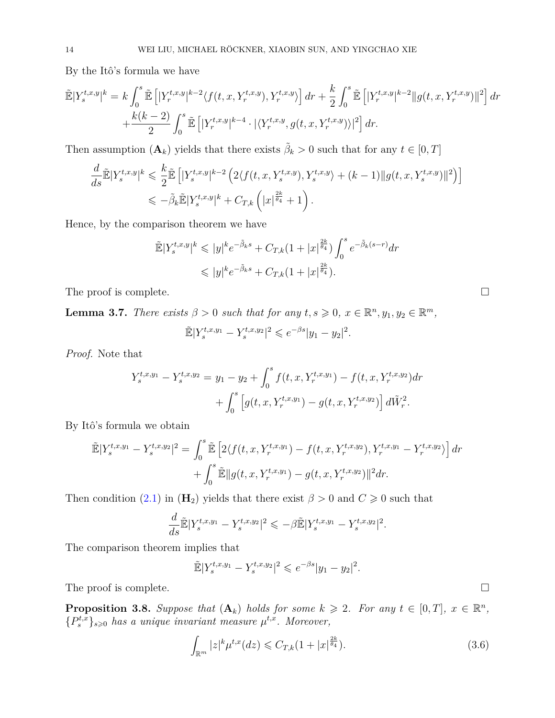By the Itô's formula we have

$$
\tilde{\mathbb{E}}|Y_s^{t,x,y}|^k = k \int_0^s \tilde{\mathbb{E}}\left[ |Y_r^{t,x,y}|^{k-2} \langle f(t,x,Y_r^{t,x,y}), Y_r^{t,x,y} \rangle \right] dr + \frac{k}{2} \int_0^s \tilde{\mathbb{E}}\left[ |Y_r^{t,x,y}|^{k-2} ||g(t,x,Y_r^{t,x,y})||^2 \right] dr \n+ \frac{k(k-2)}{2} \int_0^s \tilde{\mathbb{E}}\left[ |Y_r^{t,x,y}|^{k-4} \cdot | \langle Y_r^{t,x,y}, g(t,x,Y_r^{t,x,y}) \rangle |^2 \right] dr.
$$

Then assumption  $(\mathbf{A}_k)$  yields that there exists  $\tilde{\beta}_k > 0$  such that for any  $t \in [0, T]$ 

$$
\frac{d}{ds}\mathbb{\tilde{E}}|Y_s^{t,x,y}|^k \leq \frac{k}{2}\mathbb{\tilde{E}}\left[|Y_s^{t,x,y}|^{k-2}\left(2\langle f(t,x,Y_s^{t,x,y}),Y_s^{t,x,y}\rangle + (k-1)\|g(t,x,Y_s^{t,x,y})\|^2\right)\right] \leq -\tilde{\beta}_k\mathbb{\tilde{E}}|Y_s^{t,x,y}|^k + C_{T,k}\left(|x|^{\frac{2k}{\theta_4}}+1\right).
$$

Hence, by the comparison theorem we have

$$
\tilde{\mathbb{E}}|Y_s^{t,x,y}|^k \leqslant |y|^k e^{-\tilde{\beta}_k s} + C_{T,k} (1+|x|^{\frac{2k}{\theta_4}}) \int_0^s e^{-\tilde{\beta}_k (s-r)} dr
$$
\n
$$
\leqslant |y|^k e^{-\tilde{\beta}_k s} + C_{T,k} (1+|x|^{\frac{2k}{\theta_4}}).
$$

The proof is complete.

<span id="page-13-2"></span>**Lemma 3.7.** *There exists*  $\beta > 0$  *such that for any*  $t, s \ge 0, x \in \mathbb{R}^n, y_1, y_2 \in \mathbb{R}^m$ ,

$$
\tilde{\mathbb{E}}|Y_s^{t,x,y_1} - Y_s^{t,x,y_2}|^2 \leqslant e^{-\beta s}|y_1 - y_2|^2.
$$

*Proof.* Note that

$$
Y_s^{t,x,y_1} - Y_s^{t,x,y_2} = y_1 - y_2 + \int_0^s f(t, x, Y_r^{t,x,y_1}) - f(t, x, Y_r^{t,x,y_2}) dr + \int_0^s \left[ g(t, x, Y_r^{t,x,y_1}) - g(t, x, Y_r^{t,x,y_2}) \right] d\tilde{W}_r^2.
$$

By Itô's formula we obtain

$$
\tilde{\mathbb{E}}|Y_s^{t,x,y_1} - Y_s^{t,x,y_2}|^2 = \int_0^s \tilde{\mathbb{E}}\left[2\langle f(t,x,Y_r^{t,x,y_1}) - f(t,x,Y_r^{t,x,y_2}), Y_r^{t,x,y_1} - Y_r^{t,x,y_2}\rangle\right]dr \n+ \int_0^s \tilde{\mathbb{E}}\|g(t,x,Y_r^{t,x,y_1}) - g(t,x,Y_r^{t,x,y_2})\|^2 dr.
$$

Then condition [\(2.1\)](#page-3-0) in ( $\mathbf{H}_2$ ) yields that there exist  $\beta > 0$  and  $C \geq 0$  such that

$$
\frac{d}{ds}\mathbb{\tilde{E}}|Y_s^{t,x,y_1} - Y_s^{t,x,y_2}|^2 \leq -\beta \mathbb{\tilde{E}}|Y_s^{t,x,y_1} - Y_s^{t,x,y_2}|^2.
$$

The comparison theorem implies that

$$
\mathbb{E}|Y_s^{t,x,y_1} - Y_s^{t,x,y_2}|^2 \leq e^{-\beta s}|y_1 - y_2|^2.
$$

The proof is complete.  $\Box$ 

<span id="page-13-0"></span>**Proposition 3.8.** *Suppose that*  $(A_k)$  *holds for some*  $k \ge 2$ *. For any*  $t \in [0, T]$ *,*  $x \in \mathbb{R}^n$ *,*  ${P_s^{t,x}}_{s\geqslant0}$  *has a unique invariant measure*  $\mu^{t,x}$ *. Moreover,* 

<span id="page-13-1"></span>
$$
\int_{\mathbb{R}^m} |z|^k \mu^{t,x}(dz) \leq C_{T,k} (1 + |x|^{\frac{2k}{\theta_4}}). \tag{3.6}
$$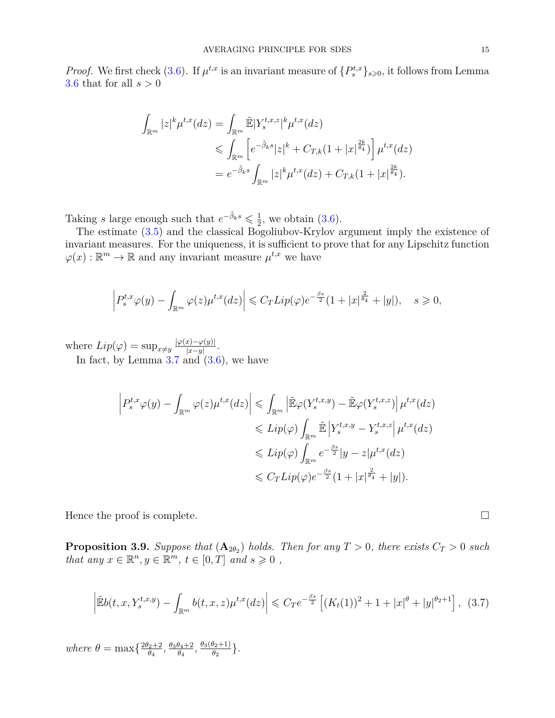*Proof.* We first check [\(3.6\)](#page-13-1). If  $\mu^{t,x}$  is an invariant measure of  $\{P_s^{t,x}\}_{s\geqslant 0}$ , it follows from Lemma [3.6](#page-12-0) that for all *s >* 0

$$
\int_{\mathbb{R}^m} |z|^k \mu^{t,x}(dz) = \int_{\mathbb{R}^m} \tilde{\mathbb{E}} |Y_s^{t,x,z}|^k \mu^{t,x}(dz)
$$
  
\n
$$
\leq \int_{\mathbb{R}^m} \left[ e^{-\tilde{\beta}_k s} |z|^k + C_{T,k} (1 + |x|^{\frac{2k}{\theta_4}}) \right] \mu^{t,x}(dz)
$$
  
\n
$$
= e^{-\tilde{\beta}_k s} \int_{\mathbb{R}^m} |z|^k \mu^{t,x}(dz) + C_{T,k} (1 + |x|^{\frac{2k}{\theta_4}}).
$$

Taking *s* large enough such that  $e^{-\tilde{\beta}_k s} \leq \frac{1}{2}$  $\frac{1}{2}$ , we obtain  $(3.6)$ .

The estimate [\(3.5\)](#page-12-1) and the classical Bogoliubov-Krylov argument imply the existence of invariant measures. For the uniqueness, it is sufficient to prove that for any Lipschitz function  $\varphi(x): \mathbb{R}^m \to \mathbb{R}$  and any invariant measure  $\mu^{t,x}$  we have

$$
\left| P_s^{t,x} \varphi(y) - \int_{\mathbb{R}^m} \varphi(z) \mu^{t,x}(dz) \right| \leqslant C_T Lip(\varphi) e^{-\frac{\beta s}{2}} (1 + |x|^{\frac{2}{\theta_4}} + |y|), \quad s \geqslant 0,
$$

where  $Lip(\varphi) = \sup_{x \neq y} \frac{|\varphi(x) - \varphi(y)|}{|x - y|}$  $\frac{x)-\varphi(y)|}{|x-y|}.$ In fact, by Lemma  $3.7$  and  $(3.6)$ , we have

$$
\left| P_s^{t,x} \varphi(y) - \int_{\mathbb{R}^m} \varphi(z) \mu^{t,x}(dz) \right| \leq \int_{\mathbb{R}^m} \left| \tilde{\mathbb{E}} \varphi(Y_s^{t,x,y}) - \tilde{\mathbb{E}} \varphi(Y_s^{t,x,z}) \right| \mu^{t,x}(dz)
$$
  

$$
\leqslant Lip(\varphi) \int_{\mathbb{R}^m} \tilde{\mathbb{E}} \left| Y_s^{t,x,y} - Y_s^{t,x,z} \right| \mu^{t,x}(dz)
$$
  

$$
\leqslant Lip(\varphi) \int_{\mathbb{R}^m} e^{-\frac{\beta s}{2}} |y - z| \mu^{t,x}(dz)
$$
  

$$
\leqslant C_T Lip(\varphi) e^{-\frac{\beta s}{2}} (1 + |x|^{\frac{2}{\theta_4}} + |y|).
$$

Hence the proof is complete.  $\Box$ 

<span id="page-14-0"></span>**Proposition 3.9.** Suppose that  $(A_{2\theta_2})$  holds. Then for any  $T > 0$ , there exists  $C_T > 0$  such *that any*  $x \in \mathbb{R}^n, y \in \mathbb{R}^m, t \in [0, T]$  *and*  $s \geq 0$ ,

$$
\left| \tilde{\mathbb{E}}b(t, x, Y_s^{t, x, y}) - \int_{\mathbb{R}^m} b(t, x, z) \mu^{t, x}(dz) \right| \leqslant C_T e^{-\frac{\beta s}{2}} \left[ (K_t(1))^2 + 1 + |x|^\theta + |y|^{\theta_2 + 1} \right], \tag{3.7}
$$

 $where \theta = \max\left\{\frac{2\theta_2 + 2}{\theta_1}\right\}$  $\frac{\theta_2+2}{\theta_4}, \frac{\theta_3\theta_4+2}{\theta_4}$  $\frac{\theta_4+2}{\theta_4}, \frac{\theta_3(\theta_2+1)}{\theta_2}$  $\frac{\theta_2+1}{\theta_2}$ .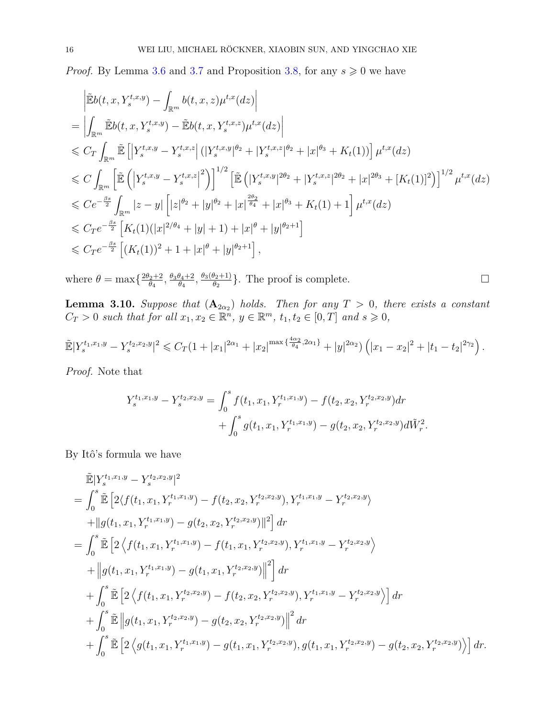*Proof.* By Lemma [3.6](#page-12-0) and [3.7](#page-13-2) and Proposition [3.8,](#page-13-0) for any  $s \geq 0$  we have

$$
\begin{split}\n&= \left| \tilde{\mathbb{E}}b(t,x,Y_s^{t,x,y}) - \int_{\mathbb{R}^m} b(t,x,z)\mu^{t,x}(dz) \right| \\
&= \left| \int_{\mathbb{R}^m} \tilde{\mathbb{E}}b(t,x,Y_s^{t,x,y}) - \tilde{\mathbb{E}}b(t,x,Y_s^{t,x,z})\mu^{t,x}(dz) \right| \\
&\leq C_T \int_{\mathbb{R}^m} \tilde{\mathbb{E}} \left[ \left| Y_s^{t,x,y} - Y_s^{t,x,z} \right| (|Y_s^{t,x,y}|^{\theta_2} + |Y_s^{t,x,z}|^{\theta_2} + |x|^{\theta_3} + K_t(1)) \right] \mu^{t,x}(dz) \\
&\leq C \int_{\mathbb{R}^m} \left[ \tilde{\mathbb{E}} \left( \left| Y_s^{t,x,y} - Y_s^{t,x,z} \right|^2 \right) \right]^{1/2} \left[ \tilde{\mathbb{E}} \left( |Y_s^{t,x,y}|^{2\theta_2} + |Y_s^{t,x,z}|^{2\theta_2} + |x|^{2\theta_3} + [K_t(1)]^2 \right) \right]^{1/2} \mu^{t,x}(dz) \\
&\leq C e^{-\frac{\beta s}{2}} \int_{\mathbb{R}^m} |z-y| \left[ |z|^{\theta_2} + |y|^{\theta_2} + |x|^{\frac{2\theta_2}{\theta_4}} + |x|^{\theta_3} + K_t(1) + 1 \right] \mu^{t,x}(dz) \\
&\leq C_T e^{-\frac{\beta s}{2}} \left[ K_t(1)(|x|^{2/\theta_4} + |y| + 1) + |x|^{\theta} + |y|^{\theta_2+1} \right] \\
&\leq C_T e^{-\frac{\beta s}{2}} \left[ (K_t(1))^2 + 1 + |x|^{\theta} + |y|^{\theta_2+1} \right],\n\end{split}
$$

where  $\theta = \max\left\{\frac{2\theta_2 + 2}{\theta_1}\right\}$  $\frac{\theta_2+2}{\theta_4}, \frac{\theta_3\theta_4+2}{\theta_4}$  $\frac{\theta_4+2}{\theta_4}, \frac{\theta_3(\theta_2+1)}{\theta_2}$  $\frac{\theta_2+1}{\theta_2}$ . The proof is complete.

<span id="page-15-0"></span>**Lemma 3.10.** *Suppose that*  $(A_{2\alpha_2})$  *holds. Then for any*  $T > 0$ *, there exists a constant*  $C_T > 0$  *such that for all*  $x_1, x_2 \in \mathbb{R}^n$ ,  $y \in \mathbb{R}^m$ ,  $t_1, t_2 \in [0, T]$  *and*  $s \geq 0$ ,

$$
\widetilde{\mathbb{E}}|Y_s^{t_1,x_1,y}-Y_s^{t_2,x_2,y}|^2 \leqslant C_T(1+|x_1|^{2\alpha_1}+|x_2|^{\max\{\frac{4\alpha_2}{\theta_4},2\alpha_1\}}+|y|^{2\alpha_2})\left(|x_1-x_2|^2+|t_1-t_2|^{2\gamma_2}\right).
$$

*Proof.* Note that

$$
Y_s^{t_1,x_1,y} - Y_s^{t_2,x_2,y} = \int_0^s f(t_1, x_1, Y_r^{t_1,x_1,y}) - f(t_2, x_2, Y_r^{t_2,x_2,y}) dr + \int_0^s g(t_1, x_1, Y_r^{t_1,x_1,y}) - g(t_2, x_2, Y_r^{t_2,x_2,y}) d\tilde{W}_r^2.
$$

By Itô's formula we have

$$
\tilde{\mathbb{E}}|Y_s^{t_1,x_1,y} - Y_s^{t_2,x_2,y}|^2
$$
\n  
\n
$$
= \int_0^s \tilde{\mathbb{E}} \left[ 2 \langle f(t_1, x_1, Y_r^{t_1,x_1,y}) - f(t_2, x_2, Y_r^{t_2,x_2,y}), Y_r^{t_1,x_1,y} - Y_r^{t_2,x_2,y} \rangle \right.
$$
\n
$$
+ \|g(t_1, x_1, Y_r^{t_1,x_1,y}) - g(t_2, x_2, Y_r^{t_2,x_2,y})\|^2 \right] dr
$$
\n  
\n
$$
= \int_0^s \tilde{\mathbb{E}} \left[ 2 \langle f(t_1, x_1, Y_r^{t_1,x_1,y}) - f(t_1, x_1, Y_r^{t_2,x_2,y}), Y_r^{t_1,x_1,y} - Y_r^{t_2,x_2,y} \rangle \right.
$$
\n
$$
+ \|g(t_1, x_1, Y_r^{t_1,x_1,y}) - g(t_1, x_1, Y_r^{t_2,x_2,y})\|^2 \right] dr
$$
\n  
\n
$$
+ \int_0^s \tilde{\mathbb{E}} \left[ 2 \langle f(t_1, x_1, Y_r^{t_2,x_2,y}) - f(t_2, x_2, Y_r^{t_2,x_2,y}), Y_r^{t_1,x_1,y} - Y_r^{t_2,x_2,y} \rangle \right] dr
$$
\n  
\n
$$
+ \int_0^s \tilde{\mathbb{E}} \left[ g(t_1, x_1, Y_r^{t_2,x_2,y}) - g(t_2, x_2, Y_r^{t_2,x_2,y}) \right]^2 dr
$$
\n  
\n
$$
+ \int_0^s \tilde{\mathbb{E}} \left[ 2 \langle g(t_1, x_1, Y_r^{t_1,x_1,y}) - g(t_1, x_1, Y_r^{t_2,x_2,y}), g(t_1, x_1, Y_r^{t_2,x_2,y}) - g(t_2, x_2, Y_r^{t_2,x_2,y}) \rangle \right] dr
$$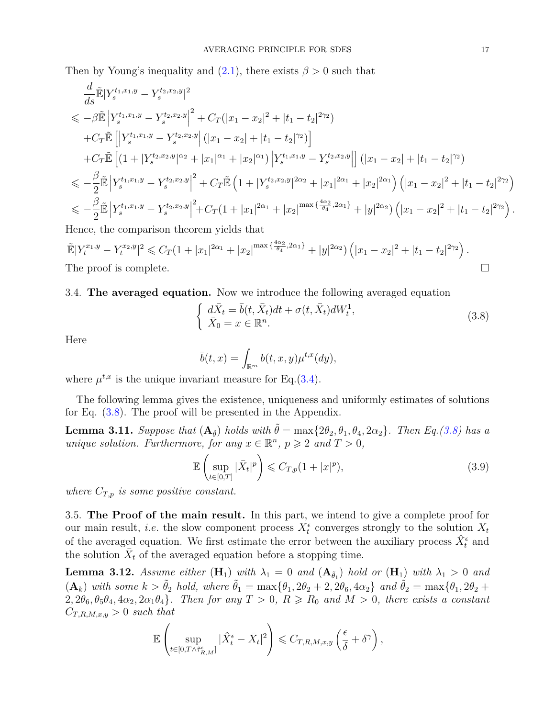Then by Young's inequality and  $(2.1)$ , there exists  $\beta > 0$  such that

$$
\frac{d}{ds}\mathbb{E}|Y_s^{t_1,x_1,y} - Y_s^{t_2,x_2,y}|^2
$$
\n
$$
\leq -\beta \mathbb{E}\left|Y_s^{t_1,x_1,y} - Y_s^{t_2,x_2,y}\right|^2 + C_T(|x_1 - x_2|^2 + |t_1 - t_2|^{2\gamma_2})
$$
\n
$$
+ C_T \mathbb{E}\left[\left|Y_s^{t_1,x_1,y} - Y_s^{t_2,x_2,y}\right|(|x_1 - x_2| + |t_1 - t_2|^{2\gamma_2})\right]
$$
\n
$$
+ C_T \mathbb{E}\left[(1 + |Y_s^{t_2,x_2,y}|^{\alpha_2} + |x_1|^{\alpha_1} + |x_2|^{\alpha_1})\left|Y_s^{t_1,x_1,y} - Y_s^{t_2,x_2,y}\right|\right] (|x_1 - x_2| + |t_1 - t_2|^{2\gamma_2})
$$
\n
$$
\leq -\frac{\beta}{2} \mathbb{E}\left|Y_s^{t_1,x_1,y} - Y_s^{t_2,x_2,y}\right|^2 + C_T \mathbb{E}\left(1 + |Y_s^{t_2,x_2,y}|^{2\alpha_2} + |x_1|^{2\alpha_1} + |x_2|^{2\alpha_1}\right) \left(|x_1 - x_2|^2 + |t_1 - t_2|^{2\gamma_2}\right)
$$
\n
$$
\leq -\frac{\beta}{2} \mathbb{E}\left|Y_s^{t_1,x_1,y} - Y_s^{t_2,x_2,y}\right|^2 + C_T(1 + |x_1|^{2\alpha_1} + |x_2|^{\max{\frac{4\alpha_2}{\theta_4},2\alpha_1}} + |y|^{2\alpha_2})\left(|x_1 - x_2|^2 + |t_1 - t_2|^{2\gamma_2}\right).
$$
\nHence, the comparison theorem yields that

Hence, the comparison theorem yields that

 $\tilde{\mathbb{E}}|Y_t^{x_1,y}-Y_t^{x_2,y}|^2 \leqslant C_T(1+|x_1|^{2\alpha_1}+|x_2|^{\max{\{\frac{4\alpha_2}{\theta_4},2\alpha_1\}}}+|y|^{2\alpha_2})\left(|x_1-x_2|^2+|t_1-t_2|^{2\gamma_2}\right).$ The proof is complete.  $\Box$ 

3.4. **The averaged equation.** Now we introduce the following averaged equation

<span id="page-16-0"></span>
$$
\begin{cases}\n d\bar{X}_t = \bar{b}(t, \bar{X}_t)dt + \sigma(t, \bar{X}_t)dW_t^1, \\
 \bar{X}_0 = x \in \mathbb{R}^n.\n\end{cases} \tag{3.8}
$$

Here

$$
\bar{b}(t,x) = \int_{\mathbb{R}^m} b(t,x,y) \mu^{t,x}(dy),
$$

where  $\mu^{t,x}$  is the unique invariant measure for Eq.[\(3.4\)](#page-9-1).

The following lemma gives the existence, uniqueness and uniformly estimates of solutions for Eq. [\(3.8\)](#page-16-0). The proof will be presented in the Appendix.

<span id="page-16-2"></span>**Lemma 3.11.** *Suppose that*  $(A_{\tilde{\theta}})$  *holds with*  $\tilde{\theta} = \max\{2\theta_2, \theta_1, \theta_4, 2\alpha_2\}$ *. Then* Eq.[\(3.8\)](#page-16-0) has a *unique solution. Furthermore, for any*  $x \in \mathbb{R}^n$ ,  $p \geqslant 2$  *and*  $T > 0$ ,

<span id="page-16-3"></span>
$$
\mathbb{E}\left(\sup_{t\in[0,T]}|\bar{X}_t|^p\right) \leqslant C_{T,p}(1+|x|^p),\tag{3.9}
$$

*where CT,p is some positive constant.*

3.5. **The Proof of the main result.** In this part, we intend to give a complete proof for our main result, *i.e.* the slow component process  $X_t^{\epsilon}$  converges strongly to the solution  $\bar{X}_t$ of the averaged equation. We first estimate the error between the auxiliary process  $\hat{X}_{t}^{\epsilon}$  and the solution  $\bar{X}_t$  of the averaged equation before a stopping time.

<span id="page-16-1"></span>**Lemma 3.12.** *Assume either*  $(H_1)$  *with*  $\lambda_1 = 0$  *and*  $(A_{\tilde{\theta}_1})$  *hold or*  $(H_1)$  *with*  $\lambda_1 > 0$  *and*  $(\mathbf{A}_k)$  *with some*  $k > \tilde{\theta}_2$  *hold, where*  $\tilde{\theta}_1 = \max\{\theta_1, 2\theta_2 + 2, 2\theta_6, 4\alpha_2\}$  *and*  $\tilde{\theta}_2 = \max\{\theta_1, 2\theta_2 + 2, 2\theta_4\}$  $2, 2\theta_6, \theta_5\theta_4, 4\alpha_2, 2\alpha_1\theta_4$ *. Then for any*  $T > 0$ ,  $R \ge R_0$  and  $M > 0$ , there exists a constant  $C_{T,R,M,x,y} > 0$  *such that* 

$$
\mathbb{E}\left(\sup_{t\in[0,T\wedge\tilde{\tau}_{R,M}^\epsilon]}|\hat{X}_t^\epsilon-\bar{X}_t|^2\right)\leqslant C_{T,R,M,x,y}\left(\frac{\epsilon}{\delta}+\delta^\gamma\right),
$$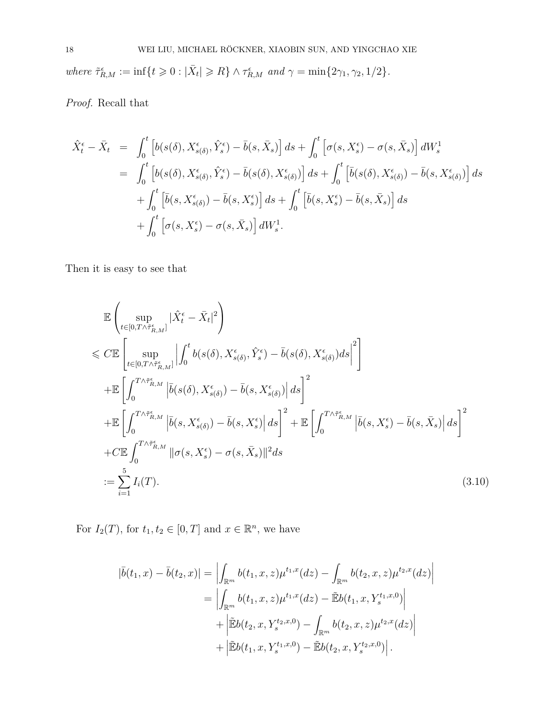*where*  $\tilde{\tau}_{R,M}^{\epsilon} := \inf\{t \geq 0 : |\bar{X}_t| \geq R\} \wedge \tau_{R,M}^{\epsilon}$  *and*  $\gamma = \min\{2\gamma_1, \gamma_2, 1/2\}.$ 

*Proof.* Recall that

$$
\hat{X}_t^{\epsilon} - \bar{X}_t = \int_0^t \left[ b(s(\delta), X_{s(\delta)}^{\epsilon}, \hat{Y}_s^{\epsilon}) - \bar{b}(s, \bar{X}_s) \right] ds + \int_0^t \left[ \sigma(s, X_s^{\epsilon}) - \sigma(s, \bar{X}_s) \right] dW_s^1
$$
\n
$$
= \int_0^t \left[ b(s(\delta), X_{s(\delta)}^{\epsilon}, \hat{Y}_s^{\epsilon}) - \bar{b}(s(\delta), X_{s(\delta)}^{\epsilon}) \right] ds + \int_0^t \left[ \bar{b}(s(\delta), X_{s(\delta)}^{\epsilon}) - \bar{b}(s, X_{s(\delta)}^{\epsilon}) \right] ds
$$
\n
$$
+ \int_0^t \left[ \bar{b}(s, X_{s(\delta)}^{\epsilon}) - \bar{b}(s, X_s^{\epsilon}) \right] ds + \int_0^t \left[ \bar{b}(s, X_s^{\epsilon}) - \bar{b}(s, \bar{X}_s) \right] ds
$$
\n
$$
+ \int_0^t \left[ \sigma(s, X_s^{\epsilon}) - \sigma(s, \bar{X}_s) \right] dW_s^1.
$$

Then it is easy to see that

<span id="page-17-0"></span>
$$
\mathbb{E}\left(\sup_{t\in[0,T\wedge\tilde{\tau}_{R,M}^{\epsilon}]}|\hat{X}_{t}^{\epsilon}-\bar{X}_{t}|^{2}\right) \n\leq C\mathbb{E}\left[\sup_{t\in[0,T\wedge\tilde{\tau}_{R,M}^{\epsilon}]}|\int_{0}^{t}b(s(\delta),X_{s(\delta)}^{\epsilon},\hat{Y}_{s}^{\epsilon})-\bar{b}(s(\delta),X_{s(\delta)}^{\epsilon})ds|\right]^{2} \n+\mathbb{E}\left[\int_{0}^{T\wedge\tilde{\tau}_{R,M}^{\epsilon}}|\bar{b}(s(\delta),X_{s(\delta)}^{\epsilon})-\bar{b}(s,X_{s(\delta)}^{\epsilon})|\,ds\right]^{2} \n+\mathbb{E}\left[\int_{0}^{T\wedge\tilde{\tau}_{R,M}^{\epsilon}}|\bar{b}(s,X_{s(\delta)}^{\epsilon})-\bar{b}(s,X_{s}^{\epsilon})|\,ds\right]^{2} + \mathbb{E}\left[\int_{0}^{T\wedge\tilde{\tau}_{R,M}^{\epsilon}}|\bar{b}(s,X_{s}^{\epsilon})-\bar{b}(s,\bar{X}_{s})|\,ds\right]^{2} \n+ C\mathbb{E}\int_{0}^{T\wedge\tilde{\tau}_{R,M}^{\epsilon}}\|\sigma(s,X_{s}^{\epsilon})-\sigma(s,\bar{X}_{s})\|^{2}ds \n:=\sum_{i=1}^{5}I_{i}(T).
$$
\n(3.10)

For  $I_2(T)$ , for  $t_1, t_2 \in [0, T]$  and  $x \in \mathbb{R}^n$ , we have

$$
|\bar{b}(t_1, x) - \bar{b}(t_2, x)| = \left| \int_{\mathbb{R}^m} b(t_1, x, z) \mu^{t_1, x}(dz) - \int_{\mathbb{R}^m} b(t_2, x, z) \mu^{t_2, x}(dz) \right|
$$
  
\n
$$
= \left| \int_{\mathbb{R}^m} b(t_1, x, z) \mu^{t_1, x}(dz) - \tilde{\mathbb{E}}b(t_1, x, Y_s^{t_1, x, 0}) \right|
$$
  
\n
$$
+ \left| \tilde{\mathbb{E}}b(t_2, x, Y_s^{t_2, x, 0}) - \int_{\mathbb{R}^m} b(t_2, x, z) \mu^{t_2, x}(dz) \right|
$$
  
\n
$$
+ \left| \tilde{\mathbb{E}}b(t_1, x, Y_s^{t_1, x, 0}) - \tilde{\mathbb{E}}b(t_2, x, Y_s^{t_2, x, 0}) \right|.
$$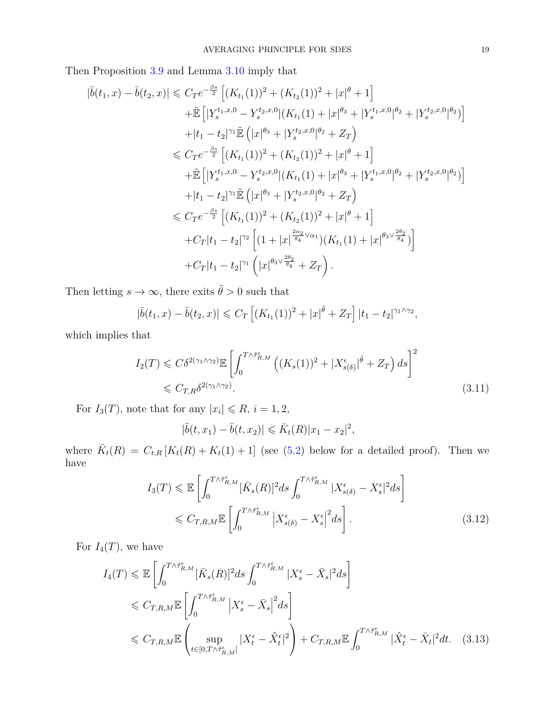Then Proposition [3.9](#page-14-0) and Lemma [3.10](#page-15-0) imply that

$$
|\bar{b}(t_1, x) - \bar{b}(t_2, x)| \leq C_T e^{-\frac{\beta s}{2}} \left[ (K_{t_1}(1))^2 + (K_{t_2}(1))^2 + |x|^{\theta} + 1 \right]
$$
  
+  $\tilde{\mathbb{E}} \left[ |Y_s^{t_1, x, 0} - Y_s^{t_2, x, 0}| (K_{t_1}(1) + |x|^{\theta_3} + |Y_s^{t_1, x, 0}|^{\theta_2} + |Y_s^{t_2, x, 0}|^{\theta_2}) \right]$   
+  $|t_1 - t_2|^{\gamma_1} \tilde{\mathbb{E}} \left( |x|^{\theta_3} + |Y_s^{t_2, x, 0}|^{\theta_2} + Z_T \right)$   
 $\leq C_T e^{-\frac{\beta s}{2}} \left[ (K_{t_1}(1))^2 + (K_{t_2}(1))^2 + |x|^{\theta} + 1 \right]$   
+  $\tilde{\mathbb{E}} \left[ |Y_s^{t_1, x, 0} - Y_s^{t_2, x, 0}| (K_{t_1}(1) + |x|^{\theta_3} + |Y_s^{t_1, x, 0}|^{\theta_2} + |Y_s^{t_2, x, 0}|^{\theta_2}) \right]$   
+  $|t_1 - t_2|^{\gamma_1} \tilde{\mathbb{E}} \left( |x|^{\theta_3} + |Y_s^{t_2, x, 0}|^{\theta_2} + Z_T \right)$   
 $\leq C_T e^{-\frac{\beta s}{2}} \left[ (K_{t_1}(1))^2 + (K_{t_2}(1))^2 + |x|^{\theta} + 1 \right]$   
+  $C_T |t_1 - t_2|^{\gamma_2} \left[ (1 + |x|^{\frac{2\alpha_2}{\theta_4} \vee \alpha_1}) (K_{t_1}(1) + |x|^{\theta_3 \vee \frac{2\theta_2}{\theta_4}}) \right]$   
+  $C_T |t_1 - t_2|^{\gamma_1} \left( |x|^{\theta_3 \vee \frac{2\theta_2}{\theta_4}} + Z_T \right).$ 

Then letting  $s\to\infty,$  there exits  $\tilde\theta>0$  such that

$$
|\bar{b}(t_1,x) - \bar{b}(t_2,x)| \leq C_T \left[ (K_{t_1}(1))^2 + |x|^{\tilde{\theta}} + Z_T \right] |t_1 - t_2|^{\gamma_1 \wedge \gamma_2},
$$

which implies that

$$
I_2(T) \leq C\delta^{2(\gamma_1 \wedge \gamma_2)} \mathbb{E} \left[ \int_0^{T\wedge \tilde{\tau}_{R,M}^{\epsilon}} \left( (K_s(1))^2 + |X_{s(\delta)}^{\epsilon}|^{\tilde{\theta}} + Z_T \right) ds \right]^2
$$
  

$$
\leq C_{T,R} \delta^{2(\gamma_1 \wedge \gamma_2)}.
$$
 (3.11)

For  $I_3(T)$ , note that for any  $|x_i| \le R$ ,  $i = 1, 2$ ,

$$
|\bar{b}(t,x_1)-\bar{b}(t,x_2)|\leq \bar{K}_t(R)|x_1-x_2|^2,
$$

where  $\bar{K}_t(R) = C_{t,R}[K_t(R) + K_t(1) + 1]$  (see [\(5.2\)](#page-26-0) below for a detailed proof). Then we have

$$
I_3(T) \leq \mathbb{E}\left[\int_0^{T\wedge\tilde{\tau}_{R,M}^{\epsilon}} [\bar{K}_s(R)]^2 ds \int_0^{T\wedge\tilde{\tau}_{R,M}^{\epsilon}} |X_{s(\delta)}^{\epsilon} - X_s^{\epsilon}|^2 ds\right]
$$
  

$$
\leq C_{T,R,M} \mathbb{E}\left[\int_0^{T\wedge\tilde{\tau}_{R,M}^{\epsilon}} \left|X_{s(\delta)}^{\epsilon} - X_s^{\epsilon}\right|^2 ds\right].
$$
 (3.12)

For  $I_4(T)$ , we have

$$
I_4(T) \leq \mathbb{E}\left[\int_0^{T\wedge\tilde{\tau}_{R,M}^{\epsilon}} [\bar{K}_s(R)]^2 ds \int_0^{T\wedge\tilde{\tau}_{R,M}^{\epsilon}} |X_s^{\epsilon} - \bar{X}_s|^2 ds\right]
$$
  
\n
$$
\leq C_{T,R,M} \mathbb{E}\left[\int_0^{T\wedge\tilde{\tau}_{R,M}^{\epsilon}} \left|X_s^{\epsilon} - \bar{X}_s\right|^2 ds\right]
$$
  
\n
$$
\leq C_{T,R,M} \mathbb{E}\left(\sup_{t\in[0,T\wedge\tilde{\tau}_{R,M}^{\epsilon}]} |X_t^{\epsilon} - \hat{X}_t^{\epsilon}|^2\right) + C_{T,R,M} \mathbb{E}\int_0^{T\wedge\tilde{\tau}_{R,M}^{\epsilon}} |\hat{X}_t^{\epsilon} - \bar{X}_t|^2 dt. \quad (3.13)
$$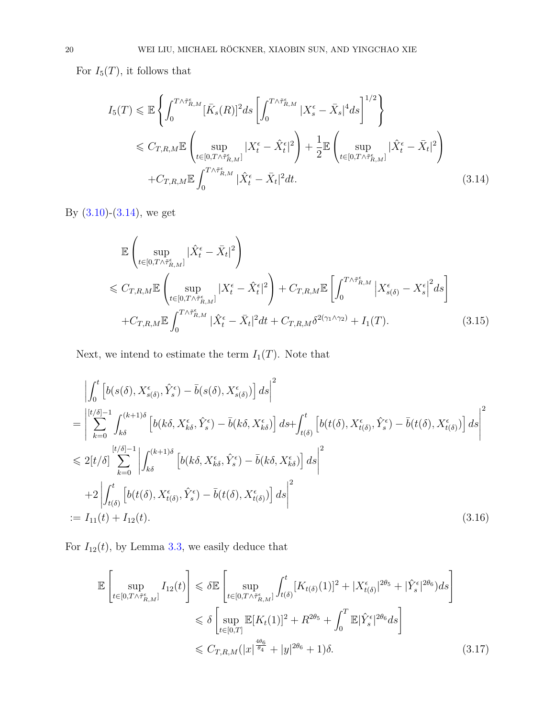For  $I_5(T)$ , it follows that

<span id="page-19-0"></span>
$$
I_{5}(T) \leq \mathbb{E}\left\{\int_{0}^{T\wedge\tilde{\tau}_{R,M}^{\epsilon}} [\bar{K}_{s}(R)]^{2}ds\left[\int_{0}^{T\wedge\tilde{\tau}_{R,M}^{\epsilon}} |X_{s}^{\epsilon} - \bar{X}_{s}|^{4}ds\right]^{1/2}\right\}
$$
  

$$
\leq C_{T,R,M}\mathbb{E}\left(\sup_{t\in[0,T\wedge\tilde{\tau}_{R,M}^{\epsilon}]} |X_{t}^{\epsilon} - \hat{X}_{t}^{\epsilon}|^{2}\right) + \frac{1}{2}\mathbb{E}\left(\sup_{t\in[0,T\wedge\tilde{\tau}_{R,M}^{\epsilon}]} |\hat{X}_{t}^{\epsilon} - \bar{X}_{t}|^{2}\right)
$$

$$
+ C_{T,R,M}\mathbb{E}\int_{0}^{T\wedge\tilde{\tau}_{R,M}^{\epsilon}} |\hat{X}_{t}^{\epsilon} - \bar{X}_{t}|^{2}dt.
$$
 (3.14)

By  $(3.10)-(3.14)$  $(3.10)-(3.14)$  $(3.10)-(3.14)$ , we get

<span id="page-19-1"></span>
$$
\mathbb{E}\left(\sup_{t\in[0,T\wedge\tilde{\tau}_{R,M}^{\epsilon}]}|\hat{X}_{t}^{\epsilon}-\bar{X}_{t}|^{2}\right) \n\leq C_{T,R,M}\mathbb{E}\left(\sup_{t\in[0,T\wedge\tilde{\tau}_{R,M}^{\epsilon}]}|X_{t}^{\epsilon}-\hat{X}_{t}^{\epsilon}|^{2}\right)+C_{T,R,M}\mathbb{E}\left[\int_{0}^{T\wedge\tilde{\tau}_{R,M}^{\epsilon}}\left|X_{s(\delta)}^{\epsilon}-X_{s}^{\epsilon}\right|^{2}ds\right] \n+C_{T,R,M}\mathbb{E}\int_{0}^{T\wedge\tilde{\tau}_{R,M}^{\epsilon}}|\hat{X}_{t}^{\epsilon}-\bar{X}_{t}|^{2}dt+C_{T,R,M}\delta^{2(\gamma_{1}\wedge\gamma_{2})}+I_{1}(T).
$$
\n(3.15)

Next, we intend to estimate the term  $I_1(T)$ . Note that

$$
\begin{split}\n&\left|\int_{0}^{t}\left[b(s(\delta), X_{s(\delta)}^{\epsilon}, \hat{Y}_{s}^{\epsilon}) - \bar{b}(s(\delta), X_{s(\delta)}^{\epsilon})\right]ds\right|^{2} \\
&= \left|\sum_{k=0}^{\left[t/\delta\right]-1} \int_{k\delta}^{(k+1)\delta} \left[b(k\delta, X_{k\delta}^{\epsilon}, \hat{Y}_{s}^{\epsilon}) - \bar{b}(k\delta, X_{k\delta}^{\epsilon})\right]ds + \int_{t(\delta)}^{t}\left[b(t(\delta), X_{t(\delta)}^{\epsilon}, \hat{Y}_{s}^{\epsilon}) - \bar{b}(t(\delta), X_{t(\delta)}^{\epsilon})\right]ds\right|^{2} \\
&\leq 2[t/\delta] \sum_{k=0}^{\left[t/\delta\right]-1} \left|\int_{k\delta}^{(k+1)\delta} \left[b(k\delta, X_{k\delta}^{\epsilon}, \hat{Y}_{s}^{\epsilon}) - \bar{b}(k\delta, X_{k\delta}^{\epsilon})\right]ds\right|^{2} \\
&+ 2\left|\int_{t(\delta)}^{t}\left[b(t(\delta), X_{t(\delta)}^{\epsilon}, \hat{Y}_{s}^{\epsilon}) - \bar{b}(t(\delta), X_{t(\delta)}^{\epsilon})\right]ds\right|^{2} \\
&:= I_{11}(t) + I_{12}(t).\n\end{split} \tag{3.16}
$$

For  $I_{12}(t)$ , by Lemma [3.3,](#page-9-2) we easily deduce that

$$
\mathbb{E}\left[\sup_{t\in[0,T\wedge\tilde{\tau}_{R,M}^{\epsilon}]}I_{12}(t)\right] \leq \delta \mathbb{E}\left[\sup_{t\in[0,T\wedge\tilde{\tau}_{R,M}^{\epsilon}]} \int_{t(\delta)}^{t} [K_{t(\delta)}(1)]^{2} + |X_{t(\delta)}^{\epsilon}|^{2\theta_{5}} + |\hat{Y}_{s}^{\epsilon}|^{2\theta_{6}})ds\right]
$$
  

$$
\leq \delta \left[\sup_{t\in[0,T]} \mathbb{E}[K_{t}(1)]^{2} + R^{2\theta_{5}} + \int_{0}^{T} \mathbb{E}|\hat{Y}_{s}^{\epsilon}|^{2\theta_{6}}ds\right]
$$
  

$$
\leq C_{T,R,M}(|x|^{\frac{4\theta_{6}}{\theta_{4}}} + |y|^{2\theta_{6}} + 1)\delta.
$$
 (3.17)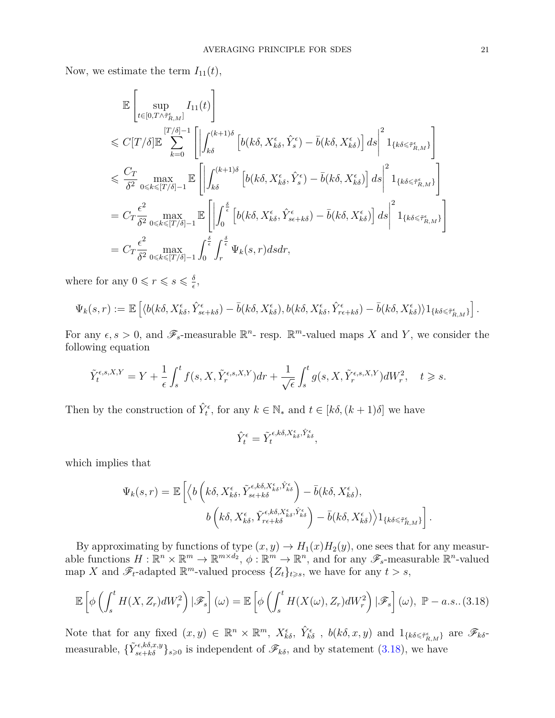Now, we estimate the term  $I_{11}(t)$ ,

$$
\mathbb{E}\left[\sup_{t\in[0,T\wedge\widehat{\tau}_{R,M}^{\epsilon}]}I_{11}(t)\right]
$$
\n
$$
\leq C[T/\delta]\mathbb{E}\sum_{k=0}^{[T/\delta]-1}\left[\left|\int_{k\delta}^{(k+1)\delta}\left[b(k\delta,X_{k\delta}^{\epsilon},\hat{Y}_{s}^{\epsilon})-\bar{b}(k\delta,X_{k\delta}^{\epsilon})\right]ds\right|^{2}1_{\{k\delta\leq\widehat{\tau}_{R,M}^{\epsilon}\}}\right]
$$
\n
$$
\leq C_{T}\max_{0\leq k\leq [T/\delta]-1}\mathbb{E}\left[\left|\int_{k\delta}^{(k+1)\delta}\left[b(k\delta,X_{k\delta}^{\epsilon},\hat{Y}_{s}^{\epsilon})-\bar{b}(k\delta,X_{k\delta}^{\epsilon})\right]ds\right|^{2}1_{\{k\delta\leq\widehat{\tau}_{R,M}^{\epsilon}\}}\right]
$$
\n
$$
= C_{T}\frac{\epsilon^{2}}{\delta^{2}}\max_{0\leq k\leq [T/\delta]-1}\mathbb{E}\left[\left|\int_{0}^{\frac{\delta}{\epsilon}}\left[b(k\delta,X_{k\delta}^{\epsilon},\hat{Y}_{s\epsilon+k\delta}^{\epsilon})-\bar{b}(k\delta,X_{k\delta}^{\epsilon})\right]ds\right|^{2}1_{\{k\delta\leq\widehat{\tau}_{R,M}^{\epsilon}\}}\right]
$$
\n
$$
= C_{T}\frac{\epsilon^{2}}{\delta^{2}}\max_{0\leq k\leq [T/\delta]-1}\int_{0}^{\frac{\delta}{\epsilon}}\int_{r}^{\frac{\delta}{\epsilon}}\Psi_{k}(s,r)dsdr,
$$

where for any  $0 \leq r \leq s \leq \frac{\delta}{e}$  $\frac{\delta}{\epsilon}$ ,

$$
\Psi_k(s,r) := \mathbb{E}\left[\langle b(k\delta, X_{k\delta}^{\epsilon}, \hat{Y}_{s\epsilon+k\delta}^{\epsilon}) - \bar{b}(k\delta, X_{k\delta}^{\epsilon}), b(k\delta, X_{k\delta}^{\epsilon}, \hat{Y}_{r\epsilon+k\delta}^{\epsilon}) - \bar{b}(k\delta, X_{k\delta}^{\epsilon})\rangle 1_{\{k\delta \leq \tilde{\tau}_{R,M}^{\epsilon}\}}\right].
$$

For any  $\epsilon, s > 0$ , and  $\mathscr{F}_{s}$ -measurable  $\mathbb{R}^{n}$ -resp.  $\mathbb{R}^{m}$ -valued maps X and Y, we consider the following equation

$$
\tilde{Y}_t^{\epsilon,s,X,Y} = Y + \frac{1}{\epsilon} \int_s^t f(s,X,\tilde{Y}_r^{\epsilon,s,X,Y}) dr + \frac{1}{\sqrt{\epsilon}} \int_s^t g(s,X,\tilde{Y}_r^{\epsilon,s,X,Y}) dW_r^2, \quad t \geq s.
$$

Then by the construction of  $\hat{Y}_t^{\epsilon}$ , for any  $k \in \mathbb{N}_*$  and  $t \in [k\delta, (k+1)\delta]$  we have

$$
\hat{Y}_{t}^{\epsilon}=\tilde{Y}_{t}^{\epsilon,k\delta,X_{k\delta}^{\epsilon},\hat{Y}_{k\delta}^{\epsilon}},
$$

which implies that

$$
\Psi_k(s,r) = \mathbb{E}\left[ \left\langle b\left(k\delta, X_{k\delta}^{\epsilon}, \tilde{Y}_{s\epsilon+k\delta}^{\epsilon,k\delta,X_{k\delta}^{\epsilon},\hat{Y}_{k\delta}^{\epsilon}}\right) - \bar{b}(k\delta, X_{k\delta}^{\epsilon}), \right.\\ \left. b\left(k\delta, X_{k\delta}^{\epsilon}, \tilde{Y}_{r\epsilon+k\delta}^{\epsilon,k\delta,X_{k\delta}^{\epsilon},\hat{Y}_{k\delta}^{\epsilon}}\right) - \bar{b}(k\delta, X_{k\delta}^{\epsilon}) \right\rangle 1_{\{k\delta \leq \tilde{\tau}_{R,M}^{\epsilon}\}}\right].
$$

By approximating by functions of type  $(x, y) \to H_1(x)H_2(y)$ , one sees that for any measurable functions  $H: \mathbb{R}^n \times \mathbb{R}^m \to \mathbb{R}^{m \times d_2}, \phi: \mathbb{R}^m \to \mathbb{R}^n$ , and for any  $\mathscr{F}_s$ -measurable  $\mathbb{R}^n$ -valued map *X* and  $\mathscr{F}_t$ -adapted  $\mathbb{R}^m$ -valued process  $\{Z_t\}_{t\geqslant s}$ , we have for any  $t>s$ ,

<span id="page-20-0"></span>
$$
\mathbb{E}\left[\phi\left(\int_{s}^{t} H(X, Z_r)dW_r^2\right)|\mathscr{F}_s\right](\omega) = \mathbb{E}\left[\phi\left(\int_{s}^{t} H(X(\omega), Z_r)dW_r^2\right)|\mathscr{F}_s\right](\omega), \ \mathbb{P}-a.s..(3.18)
$$

Note that for any fixed  $(x, y) \in \mathbb{R}^n \times \mathbb{R}^m$ ,  $X_{k\delta}^{\epsilon}$ ,  $\hat{Y}_{k\delta}^{\epsilon}$ ,  $b(k\delta, x, y)$  and  $1_{\{k\delta \leq \tilde{\tau}_{R,M}^{\epsilon}\}}$  are  $\mathscr{F}_{k\delta}$ measurable,  $\{\tilde{Y}_{s\epsilon+k\delta}^{\epsilon,k\delta,x,y}\}_{s\geqslant0}$  is independent of  $\mathscr{F}_{k\delta}$ , and by statement [\(3.18\)](#page-20-0), we have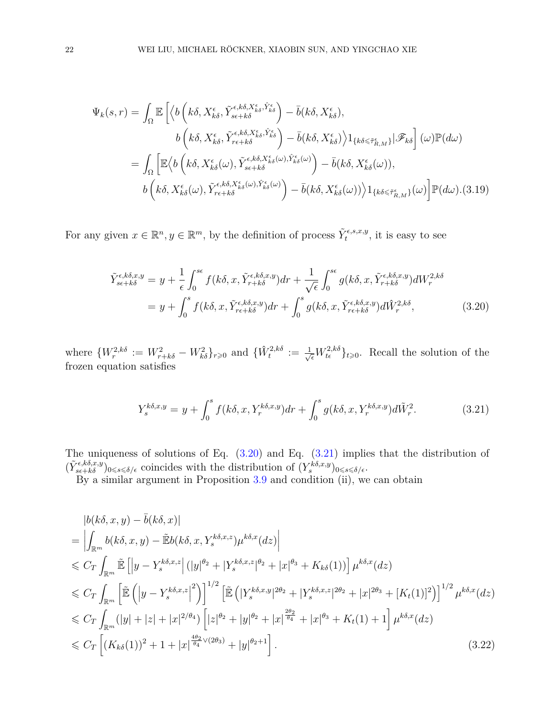<span id="page-21-2"></span>
$$
\Psi_{k}(s,r) = \int_{\Omega} \mathbb{E}\left[ \left\langle b\left(k\delta, X_{k\delta}^{\epsilon}, \tilde{Y}_{s\epsilon+k\delta}^{\epsilon,\kappa\delta, X_{k\delta}^{\epsilon}, \hat{Y}_{k\delta}^{\epsilon}}\right) - \bar{b}(k\delta, X_{k\delta}^{\epsilon}), \right. \\
\left. b\left(k\delta, X_{k\delta}^{\epsilon}, \tilde{Y}_{r\epsilon+k\delta}^{\epsilon,\kappa\delta, X_{k\delta}^{\epsilon}, \hat{Y}_{k\delta}^{\epsilon}}\right) - \bar{b}(k\delta, X_{k\delta}^{\epsilon})\right\rangle 1_{\{k\delta \leq \tilde{\tau}_{R,M}^{\epsilon}\}} |\mathscr{F}_{k\delta}\right] (\omega) \mathbb{P}(d\omega)
$$
\n
$$
= \int_{\Omega} \left[ \mathbb{E}\left\langle b\left(k\delta, X_{k\delta}^{\epsilon}(\omega), \tilde{Y}_{s\epsilon+k\delta}^{\epsilon,\kappa\delta, X_{k\delta}^{\epsilon}(\omega), \hat{Y}_{k\delta}^{\epsilon}(\omega)}\right) - \bar{b}(k\delta, X_{k\delta}^{\epsilon}(\omega)), \right. \\
\left. b\left(k\delta, X_{k\delta}^{\epsilon}(\omega), \tilde{Y}_{r\epsilon+k\delta}^{\epsilon,\kappa\delta, X_{k\delta}^{\epsilon}(\omega), \hat{Y}_{k\delta}^{\epsilon}(\omega)}\right) - \bar{b}(k\delta, X_{k\delta}^{\epsilon}(\omega))\right\rangle 1_{\{k\delta \leq \tilde{\tau}_{R,M}^{\epsilon}\}} (\omega) \right] \mathbb{P}(d\omega). (3.19)
$$

For any given  $x \in \mathbb{R}^n, y \in \mathbb{R}^m$ , by the definition of process  $\tilde{Y}_t^{\epsilon,s,x,y}$ , it is easy to see

<span id="page-21-0"></span>
$$
\tilde{Y}_{s\epsilon+k\delta}^{\epsilon,k\delta,x,y} = y + \frac{1}{\epsilon} \int_0^{s\epsilon} f(k\delta,x,\tilde{Y}_{r+k\delta}^{\epsilon,k\delta,x,y}) dr + \frac{1}{\sqrt{\epsilon}} \int_0^{s\epsilon} g(k\delta,x,\tilde{Y}_{r+k\delta}^{\epsilon,k\delta,x,y}) dW_r^{2,k\delta}
$$
\n
$$
= y + \int_0^s f(k\delta,x,\tilde{Y}_{r\epsilon+k\delta}^{\epsilon,k\delta,x,y}) dr + \int_0^s g(k\delta,x,\tilde{Y}_{r\epsilon+k\delta}^{\epsilon,k\delta,x,y}) d\tilde{W}_r^{2,k\delta}, \tag{3.20}
$$

where  $\{W_r^{2,k\delta} := W_{r+k\delta}^2 - W_{k\delta}^2\}_{r\geqslant0}$  and  $\{\hat{W}_t^{2,k\delta} := \frac{1}{\sqrt{\epsilon}}W_{t\epsilon}^{2,k\delta}\}_{t\geqslant0}$ . Recall the solution of the frozen equation satisfies

<span id="page-21-1"></span>
$$
Y_s^{k\delta,x,y} = y + \int_0^s f(k\delta,x,Y_r^{k\delta,x,y})dr + \int_0^s g(k\delta,x,Y_r^{k\delta,x,y})d\tilde{W}_r^2.
$$
 (3.21)

The uniqueness of solutions of Eq.  $(3.20)$  and Eq.  $(3.21)$  implies that the distribution of  $(\tilde{Y}_{s\epsilon+k\delta}^{\epsilon,k\delta,x,y})_{0\leq s\leq \delta/\epsilon}$  coincides with the distribution of  $(Y_s^{k\delta,x,y})_{0\leq s\leq \delta/\epsilon}$ .

By a similar argument in Proposition [3.9](#page-14-0) and condition (ii), we can obtain

<span id="page-21-3"></span>
$$
|b(k\delta, x, y) - \bar{b}(k\delta, x)|
$$
  
\n
$$
= \left| \int_{\mathbb{R}^m} b(k\delta, x, y) - \tilde{E}b(k\delta, x, Y_s^{k\delta, x, z})\mu^{k\delta, x}(dz) \right|
$$
  
\n
$$
\leq C_T \int_{\mathbb{R}^m} \tilde{E} \left[ |y - Y_s^{k\delta, x, z}| (|y|^{\theta_2} + |Y_s^{k\delta, x, z}|^{\theta_2} + |x|^{\theta_3} + K_{k\delta}(1)) \mu^{k\delta, x}(dz) \right]
$$
  
\n
$$
\leq C_T \int_{\mathbb{R}^m} \left[ \tilde{E} \left( |y - Y_s^{k\delta, x, z}|^2 \right) \mu^{1/2} \left[ \tilde{E} \left( |Y_s^{k\delta, x, y}|^{2\theta_2} + |Y_s^{k\delta, x, z}|^{2\theta_2} + |x|^{2\theta_3} + [K_t(1)]^2 \right) \mu^{k\delta, x}(dz) \right]
$$
  
\n
$$
\leq C_T \int_{\mathbb{R}^m} (|y| + |z| + |x|^{2/\theta_4}) \left[ |z|^{\theta_2} + |y|^{\theta_2} + |x|^{2\theta_4} + |x|^{\theta_3} + K_t(1) + 1 \right] \mu^{k\delta, x}(dz)
$$
  
\n
$$
\leq C_T \left[ (K_{k\delta}(1))^2 + 1 + |x|^{\frac{4\theta_2}{\theta_4} \vee (2\theta_3)} + |y|^{\theta_2+1} \right].
$$
\n(3.22)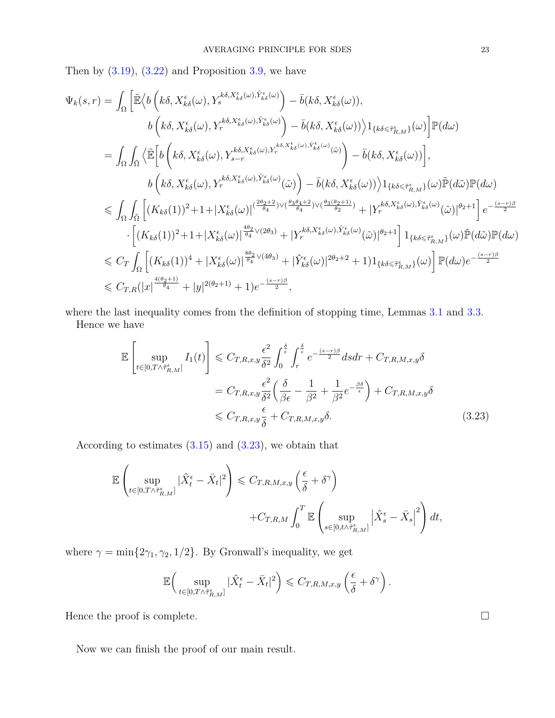Then by  $(3.19)$ ,  $(3.22)$  and Proposition [3.9,](#page-14-0) we have

$$
\Psi_{k}(s,r) = \int_{\Omega} \left[ \tilde{\mathbb{E}} \Big\langle b \left( k \delta, X_{k \delta}^{\epsilon}(\omega), Y_{s}^{k \delta, X_{k \delta}^{\epsilon}(\omega), \hat{Y}_{k \delta}^{\epsilon}(\omega)} \right) - \bar{b} (k \delta, X_{k \delta}^{\epsilon}(\omega)),
$$
\n
$$
b \left( k \delta, X_{k \delta}^{\epsilon}(\omega), Y_{r}^{k \delta, X_{k \delta}^{\epsilon}(\omega), \hat{Y}_{k \delta}^{\epsilon}(\omega)} \right) - \bar{b} (k \delta, X_{k \delta}^{\epsilon}(\omega)) \Big\rangle 1_{\{ k \delta \leq \tilde{\tau}_{R,M}^{\epsilon} \}}(\omega) \Big] \mathbb{P}(d\omega)
$$
\n
$$
= \int_{\Omega} \int_{\tilde{\Omega}} \Big\langle \tilde{\mathbb{E}} \Big[ b \left( k \delta, X_{k \delta}^{\epsilon}(\omega), Y_{s-r}^{k \delta, X_{k \delta}^{\epsilon}(\omega), \hat{Y}_{k \delta}^{\epsilon}(\omega), \hat{Y}_{k \delta}^{\epsilon}(\omega)}(\tilde{\omega}) \right) - \bar{b} (k \delta, X_{k \delta}^{\epsilon}(\omega)) \Big],
$$
\n
$$
b \left( k \delta, X_{k \delta}^{\epsilon}(\omega), Y_{r}^{k \delta, X_{k \delta}^{\epsilon}(\omega), \hat{Y}_{k \delta}^{\epsilon}(\omega)}(\tilde{\omega}) \right) - \bar{b} (k \delta, X_{k \delta}^{\epsilon}(\omega)) \Big\rangle 1_{\{ k \delta \leq \tilde{\tau}_{R,M}^{\epsilon} \}}(\omega) \tilde{\mathbb{P}}(d\tilde{\omega}) \mathbb{P}(d\omega)
$$
\n
$$
\leq \int_{\Omega} \int_{\tilde{\Omega}} \Big[ (K_{k \delta}(1))^2 + 1 + |X_{k \delta}^{\epsilon}(\omega)|^{\frac{2\theta_{2}+2}{\theta_{4}} \}} \vee (\frac{\theta_{3}\theta_{4}+2}{\theta_{4}}) \vee (\frac{\theta_{3}\theta_{4}+2}{\theta_{2}}) \Big( \frac{\theta_{3}}{\theta_{4}} \times \tilde{\tau}_{k \delta}(\omega), \hat{Y}_{k \delta}^{\epsilon}(\omega)}(\tilde{\omega}) \Big| \theta_{2} + 1
$$

where the last inequality comes from the definition of stopping time, Lemmas [3.1](#page-5-0) and [3.3.](#page-9-2) Hence we have

<span id="page-22-0"></span>
$$
\mathbb{E}\left[\sup_{t\in[0,T\wedge\tilde{\tau}_{R,M}^{\epsilon}]}I_{1}(t)\right] \leq C_{T,R,x,y}\frac{\epsilon^{2}}{\delta^{2}}\int_{0}^{\frac{\delta}{\epsilon}}\int_{r}^{\frac{\delta}{\epsilon}}e^{-\frac{(s-r)\beta}{2}}dsdr + C_{T,R,M,x,y}\delta
$$

$$
= C_{T,R,x,y}\frac{\epsilon^{2}}{\delta^{2}}\left(\frac{\delta}{\beta\epsilon} - \frac{1}{\beta^{2}} + \frac{1}{\beta^{2}}e^{-\frac{\beta\delta}{\epsilon}}\right) + C_{T,R,M,x,y}\delta
$$

$$
\leq C_{T,R,x,y}\frac{\epsilon}{\delta} + C_{T,R,M,x,y}\delta.
$$
(3.23)

According to estimates (3*.*[15\)](#page-19-1) and (3*.*[23\)](#page-22-0), we obtain that

$$
\begin{split} \mathbb{E} \left( \sup_{t \in [0, T \wedge \tilde{\tau}_{R,M}^{\epsilon}]} |\hat{X}^{\epsilon}_t - \bar{X}_t|^2 \right) &\leqslant C_{T,R,M,x,y} \left( \frac{\epsilon}{\delta} + \delta^{\gamma} \right) \\ &\qquad \qquad + C_{T,R,M} \int_0^T \mathbb{E} \left( \sup_{s \in [0, t \wedge \tilde{\tau}_{R,M}^{\epsilon}]} \left| \hat{X}^{\epsilon}_s - \bar{X}_s \right|^2 \right) dt, \end{split}
$$

where  $\gamma = \min\{2\gamma_1, \gamma_2, 1/2\}$ . By Gronwall's inequality, we get

$$
\mathbb{E}\Big(\sup_{t\in[0,T\wedge\tilde{\tau}_{R,M}^\epsilon]}|\hat{X}_t^\epsilon-\bar{X}_t|^2\Big)\leqslant C_{T,R,M,x,y}\left(\frac{\epsilon}{\delta}+\delta^\gamma\right).
$$

Hence the proof is complete.  $\Box$ 

Now we can finish the proof of our main result.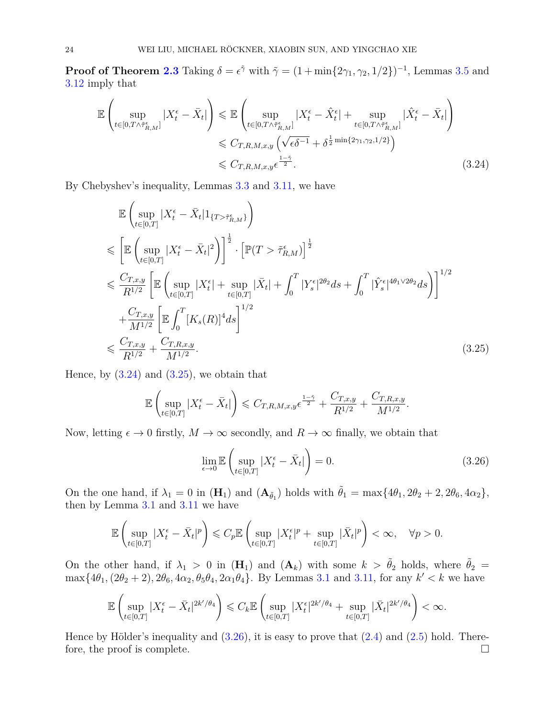**Proof of Theorem [2.3](#page-4-1)** Taking  $\delta = \epsilon^{\tilde{\gamma}}$  with  $\tilde{\gamma} = (1 + \min\{2\gamma_1, \gamma_2, 1/2\})^{-1}$ , Lemmas [3](#page-11-0).5 and 3*.*[12](#page-16-1) imply that

<span id="page-23-0"></span>
$$
\mathbb{E}\left(\sup_{t\in[0,T\wedge\tilde{\tau}_{R,M}^{\epsilon}]}|X_{t}^{\epsilon}-\bar{X}_{t}|\right) \leq \mathbb{E}\left(\sup_{t\in[0,T\wedge\tilde{\tau}_{R,M}^{\epsilon}]}|X_{t}^{\epsilon}-\hat{X}_{t}^{\epsilon}|+\sup_{t\in[0,T\wedge\tilde{\tau}_{R,M}^{\epsilon}]}|\hat{X}_{t}^{\epsilon}-\bar{X}_{t}|\right) \leq C_{T,R,M,x,y}\left(\sqrt{\epsilon\delta^{-1}}+\delta^{\frac{1}{2}\min\{2\gamma_{1},\gamma_{2},1/2\}}\right) \leq C_{T,R,M,x,y}\epsilon^{\frac{1-\tilde{\gamma}}{2}}.
$$
\n(3.24)

By Chebyshev's inequality, Lemmas [3.3](#page-9-2) and [3.11,](#page-16-2) we have

<span id="page-23-1"></span>
$$
\mathbb{E}\left(\sup_{t\in[0,T]}|X_t^{\epsilon}-\bar{X}_t|1_{\{T>\tilde{\tau}_{R,M}^{\epsilon}\}}\right) \n\leq \left[\mathbb{E}\left(\sup_{t\in[0,T]}|X_t^{\epsilon}-\bar{X}_t|^2\right)\right]^{\frac{1}{2}} \cdot \left[\mathbb{P}(T>\tilde{\tau}_{R,M}^{\epsilon})\right]^{\frac{1}{2}} \n\leq \frac{C_{T,x,y}}{R^{1/2}}\left[\mathbb{E}\left(\sup_{t\in[0,T]}|X_t^{\epsilon}|+\sup_{t\in[0,T]}|\bar{X}_t|+\int_0^T|Y_s^{\epsilon}|^{2\theta_2}ds+\int_0^T|\hat{Y}_s^{\epsilon}|^{4\theta_1\sqrt{2\theta_2}}ds\right)\right]^{1/2} \n+\frac{C_{T,x,y}}{M^{1/2}}\left[\mathbb{E}\int_0^T[K_s(R)]^4ds\right]^{1/2} \n\leq \frac{C_{T,x,y}}{R^{1/2}}+\frac{C_{T,R,x,y}}{M^{1/2}}.
$$
\n(3.25)

Hence, by  $(3.24)$  and  $(3.25)$ , we obtain that

$$
\mathbb{E}\left(\sup_{t\in[0,T]}|X_t^{\epsilon}-\bar{X}_t|\right) \leq C_{T,R,M,x,y} \epsilon^{\frac{1-\tilde{\gamma}}{2}} + \frac{C_{T,x,y}}{R^{1/2}} + \frac{C_{T,R,x,y}}{M^{1/2}}
$$

Now, letting  $\epsilon \to 0$  firstly,  $M \to \infty$  secondly, and  $R \to \infty$  finally, we obtain that

<span id="page-23-2"></span>
$$
\lim_{\epsilon \to 0} \mathbb{E} \left( \sup_{t \in [0,T]} |X_t^{\epsilon} - \bar{X}_t| \right) = 0. \tag{3.26}
$$

*.*

On the one hand, if  $\lambda_1 = 0$  in  $(\mathbf{H}_1)$  and  $(\mathbf{A}_{\tilde{\theta}_1})$  holds with  $\tilde{\theta}_1 = \max\{4\theta_1, 2\theta_2 + 2, 2\theta_6, 4\alpha_2\},\$ then by Lemma [3.1](#page-5-0) and [3.11](#page-16-2) we have

$$
\mathbb{E}\left(\sup_{t\in[0,T]}|X_t^\epsilon-\bar{X}_t|^p\right)\leqslant C_p\mathbb{E}\left(\sup_{t\in[0,T]}|X_t^\epsilon|^p+\sup_{t\in[0,T]}|\bar{X}_t|^p\right)<\infty,\quad\forall p>0.
$$

On the other hand, if  $\lambda_1 > 0$  in  $(\mathbf{H}_1)$  and  $(\mathbf{A}_k)$  with some  $k > \tilde{\theta}_2$  holds, where  $\tilde{\theta}_2 =$  $\max\{4\theta_1, (2\theta_2 + 2), 2\theta_6, 4\alpha_2, \theta_5\theta_4, 2\alpha_1\theta_4\}$ . By Lemmas [3.1](#page-5-0) and [3.11,](#page-16-2) for any  $k' < k$  we have

$$
\mathbb{E}\left(\sup_{t\in[0,T]}|X_t^{\epsilon}-\bar{X}_t|^{2k'/\theta_4}\right)\leqslant C_k\mathbb{E}\left(\sup_{t\in[0,T]}|X_t^{\epsilon}|^{2k'/\theta_4}+\sup_{t\in[0,T]}|\bar{X}_t|^{2k'/\theta_4}\right)<\infty.
$$

Hence by Hölder's inequality and  $(3.26)$ , it is easy to prove that  $(2.4)$  and  $(2.5)$  hold. Therefore, the proof is complete.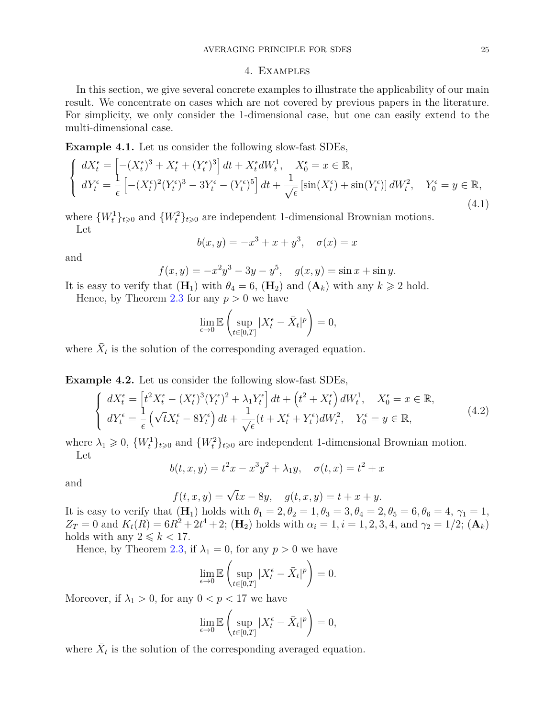#### 4. Examples

In this section, we give several concrete examples to illustrate the applicability of our main result. We concentrate on cases which are not covered by previous papers in the literature. For simplicity, we only consider the 1-dimensional case, but one can easily extend to the multi-dimensional case.

**Example 4.1.** Let us consider the following slow-fast SDEs,

$$
\begin{cases}\ndX_t^{\epsilon} = \left[ -(X_t^{\epsilon})^3 + X_t^{\epsilon} + (Y_t^{\epsilon})^3 \right] dt + X_t^{\epsilon} dW_t^1, & X_0^{\epsilon} = x \in \mathbb{R}, \\
dY_t^{\epsilon} = \frac{1}{\epsilon} \left[ -(X_t^{\epsilon})^2 (Y_t^{\epsilon})^3 - 3Y_t^{\epsilon} - (Y_t^{\epsilon})^5 \right] dt + \frac{1}{\sqrt{\epsilon}} \left[ \sin(X_t^{\epsilon}) + \sin(Y_t^{\epsilon}) \right] dW_t^2, & Y_0^{\epsilon} = y \in \mathbb{R},\n\end{cases}
$$
\n(4.1)

where  $\{W_t^1\}_{t\geqslant0}$  and  $\{W_t^2\}_{t\geqslant0}$  are independent 1-dimensional Brownian motions. Let

$$
b(x, y) = -x^3 + x + y^3, \quad \sigma(x) = x
$$

and

$$
f(x, y) = -x^2y^3 - 3y - y^5, \quad g(x, y) = \sin x + \sin y.
$$

It is easy to verify that  $(\mathbf{H}_1)$  with  $\theta_4 = 6$ ,  $(\mathbf{H}_2)$  and  $(\mathbf{A}_k)$  with any  $k \geq 2$  hold.

Hence, by Theorem [2.3](#page-4-1) for any  $p > 0$  we have

$$
\lim_{\epsilon \to 0} \mathbb{E} \left( \sup_{t \in [0,T]} |X_t^{\epsilon} - \bar{X}_t|^p \right) = 0,
$$

where  $\bar{X}_t$  is the solution of the corresponding averaged equation.

**Example 4.2.** Let us consider the following slow-fast SDEs,

$$
\begin{cases}\ndX_t^{\epsilon} = \left[t^2 X_t^{\epsilon} - (X_t^{\epsilon})^3 (Y_t^{\epsilon})^2 + \lambda_1 Y_t^{\epsilon}\right] dt + \left(t^2 + X_t^{\epsilon}\right) dW_t^1, \quad X_0^{\epsilon} = x \in \mathbb{R}, \\
dY_t^{\epsilon} = \frac{1}{\epsilon} \left(\sqrt{t} X_t^{\epsilon} - 8Y_t^{\epsilon}\right) dt + \frac{1}{\sqrt{\epsilon}} (t + X_t^{\epsilon} + Y_t^{\epsilon}) dW_t^2, \quad Y_0^{\epsilon} = y \in \mathbb{R},\n\end{cases} \tag{4.2}
$$

where  $\lambda_1 \geq 0$ ,  $\{W_t^1\}_{t\geq 0}$  and  $\{W_t^2\}_{t\geq 0}$  are independent 1-dimensional Brownian motion. Let

$$
b(t, x, y) = t2x - x3y2 + \lambda_1 y, \quad \sigma(t, x) = t2 + x
$$

and

$$
f(t, x, y) = \sqrt{t}x - 8y
$$
,  $g(t, x, y) = t + x + y$ .

It is easy to verify that  $(\mathbf{H}_1)$  holds with  $\theta_1 = 2, \theta_2 = 1, \theta_3 = 3, \theta_4 = 2, \theta_5 = 6, \theta_6 = 4, \gamma_1 = 1,$  $Z_T = 0$  and  $K_t(R) = 6R^2 + 2t^4 + 2$ ; (**H**<sub>2</sub>) holds with  $\alpha_i = 1, i = 1, 2, 3, 4$ , and  $\gamma_2 = 1/2$ ; (**A**<sub>*k*</sub>) holds with any  $2 \leq k < 17$ .

Hence, by Theorem [2.3,](#page-4-1) if  $\lambda_1 = 0$ , for any  $p > 0$  we have

$$
\lim_{\epsilon \to 0} \mathbb{E} \left( \sup_{t \in [0,T]} |X_t^{\epsilon} - \bar{X}_t|^p \right) = 0.
$$

Moreover, if  $\lambda_1 > 0$ , for any  $0 < p < 17$  we have

$$
\lim_{\epsilon \to 0} \mathbb{E} \left( \sup_{t \in [0,T]} |X_t^{\epsilon} - \bar{X}_t|^p \right) = 0,
$$

where  $\bar{X}_t$  is the solution of the corresponding averaged equation.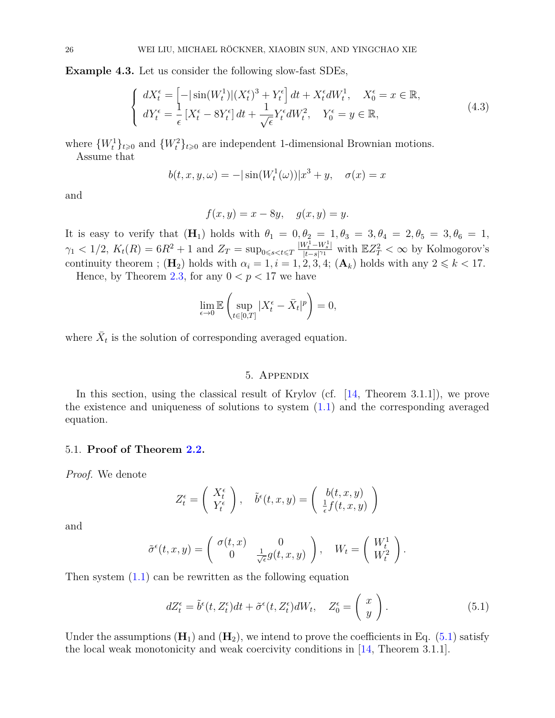**Example 4.3.** Let us consider the following slow-fast SDEs,

$$
\begin{cases}\ndX_t^{\epsilon} = \left[ -|\sin(W_t^1)|(X_t^{\epsilon})^3 + Y_t^{\epsilon} \right]dt + X_t^{\epsilon}dW_t^1, & X_0^{\epsilon} = x \in \mathbb{R}, \\
dY_t^{\epsilon} = \frac{1}{\epsilon}[X_t^{\epsilon} - 8Y_t^{\epsilon}]dt + \frac{1}{\sqrt{\epsilon}}Y_t^{\epsilon}dW_t^2, & Y_0^{\epsilon} = y \in \mathbb{R},\n\end{cases} \tag{4.3}
$$

where  $\{W_t^1\}_{t\geqslant0}$  and  $\{W_t^2\}_{t\geqslant0}$  are independent 1-dimensional Brownian motions.

Assume that

$$
b(t, x, y, \omega) = -|\sin(W_t^1(\omega))|x^3 + y, \quad \sigma(x) = x
$$

and

$$
f(x,y) = x - 8y, \quad g(x,y) = y.
$$

It is easy to verify that  $(H_1)$  holds with  $\theta_1 = 0, \theta_2 = 1, \theta_3 = 3, \theta_4 = 2, \theta_5 = 3, \theta_6 = 1$ ,  $\gamma_1$  < 1/2,  $K_t(R) = 6R^2 + 1$  and  $Z_T = \sup_{0 \le s < t \le T} \frac{|W_t^1 - W_s^1|}{|t - s|^{\gamma_1}}$  $\frac{V_t^1 - W_s^1}{|t - s|^{\gamma_1}}$  with  $\mathbb{E}Z_T^2 < \infty$  by Kolmogorov's continuity theorem ;  $(\mathbf{H}_2)$  holds with  $\alpha_i = 1, i = 1, 2, 3, 4$ ;  $(\mathbf{A}_k)$  holds with any  $2 \leq k < 17$ .

Hence, by Theorem [2.3,](#page-4-1) for any  $0 < p < 17$  we have

$$
\lim_{\epsilon \to 0} \mathbb{E} \left( \sup_{t \in [0,T]} |X_t^{\epsilon} - \bar{X}_t|^p \right) = 0,
$$

where  $\bar{X}_t$  is the solution of corresponding averaged equation.

#### 5. Appendix

In this section, using the classical result of Krylov (cf. [\[14,](#page-28-15) Theorem 3.1.1]), we prove the existence and uniqueness of solutions to system  $(1.1)$  and the corresponding averaged equation.

#### 5.1. **Proof of Theorem [2.2.](#page-4-4)**

*Proof.* We denote

$$
Z_t^{\epsilon} = \left(\begin{array}{c} X_t^{\epsilon} \\ Y_t^{\epsilon} \end{array}\right), \quad \tilde{b}^{\epsilon}(t, x, y) = \left(\begin{array}{c} b(t, x, y) \\ \frac{1}{\epsilon}f(t, x, y) \end{array}\right)
$$

and

$$
\tilde{\sigma}^{\epsilon}(t,x,y) = \begin{pmatrix} \sigma(t,x) & 0 \\ 0 & \frac{1}{\sqrt{\epsilon}}g(t,x,y) \end{pmatrix}, \quad W_t = \begin{pmatrix} W_t^1 \\ W_t^2 \end{pmatrix}.
$$

Then system [\(1.1\)](#page-0-0) can be rewritten as the following equation

<span id="page-25-0"></span>
$$
dZ_t^{\epsilon} = \tilde{b}^{\epsilon}(t, Z_t^{\epsilon})dt + \tilde{\sigma}^{\epsilon}(t, Z_t^{\epsilon})dW_t, \quad Z_0^{\epsilon} = \begin{pmatrix} x \\ y \end{pmatrix}.
$$
 (5.1)

Under the assumptions  $(\mathbf{H}_1)$  and  $(\mathbf{H}_2)$ , we intend to prove the coefficients in Eq. [\(5.1\)](#page-25-0) satisfy the local weak monotonicity and weak coercivity conditions in [\[14,](#page-28-15) Theorem 3.1.1].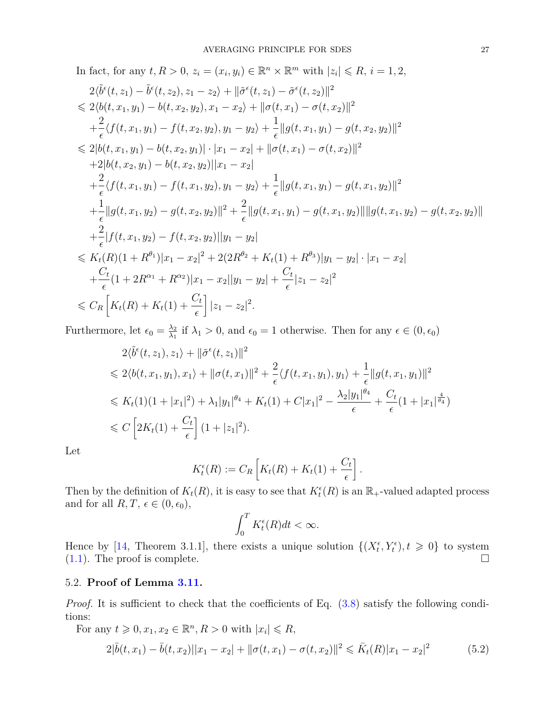In fact, for any 
$$
t, R > 0
$$
,  $z_i = (x_i, y_i) \in \mathbb{R}^n \times \mathbb{R}^m$  with  $|z_i| \le R$ ,  $i = 1, 2$ ,  
\n
$$
2\langle \tilde{b}^{\epsilon}(t, z_1) - \tilde{b}^{\epsilon}(t, z_2), z_1 - z_2 \rangle + ||\tilde{\sigma}^{\epsilon}(t, z_1) - \tilde{\sigma}^{\epsilon}(t, z_2)||^2
$$
\n
$$
\le 2\langle b(t, x_1, y_1) - b(t, x_2, y_2), x_1 - x_2 \rangle + ||\sigma(t, x_1) - \sigma(t, x_2)||^2
$$
\n
$$
+ \frac{2}{\epsilon} \langle f(t, x_1, y_1) - f(t, x_2, y_2), y_1 - y_2 \rangle + \frac{1}{\epsilon} ||g(t, x_1, y_1) - g(t, x_2, y_2)||^2
$$
\n
$$
\le 2|b(t, x_1, y_1) - b(t, x_2, y_1)| \cdot |x_1 - x_2| + ||\sigma(t, x_1) - \sigma(t, x_2)||^2
$$
\n
$$
+ 2|b(t, x_2, y_1) - b(t, x_2, y_2)||x_1 - x_2|
$$
\n
$$
+ \frac{2}{\epsilon} \langle f(t, x_1, y_1) - f(t, x_1, y_2), y_1 - y_2 \rangle + \frac{1}{\epsilon} ||g(t, x_1, y_1) - g(t, x_1, y_2)||^2
$$
\n
$$
+ \frac{1}{\epsilon} ||g(t, x_1, y_2) - g(t, x_2, y_2)||^2 + \frac{2}{\epsilon} ||g(t, x_1, y_1) - g(t, x_1, y_2)|| ||g(t, x_1, y_2) - g(t, x_2, y_2)||
$$
\n
$$
+ \frac{2}{\epsilon} |f(t, x_1, y_2) - f(t, x_2, y_2)||y_1 - y_2|
$$
\n
$$
\le K_t(R)(1 + R^{\theta_1})|x_1 - x_2|^2 + 2(2R^{\theta_2} + K_t(1) + R^{\theta_3})|y_1 - y_2| \cdot |x_1 - x_2|
$$
\n<

Furthermore, let  $\epsilon_0 = \frac{\lambda_2}{\lambda_1}$  $\frac{\lambda_2}{\lambda_1}$  if  $\lambda_1 > 0$ , and  $\epsilon_0 = 1$  otherwise. Then for any  $\epsilon \in (0, \epsilon_0)$ 

$$
2\langle \tilde{b}^{\epsilon}(t, z_{1}), z_{1}\rangle + ||\tilde{\sigma}^{\epsilon}(t, z_{1})||^{2}
$$
  
\n
$$
\leq 2\langle b(t, x_{1}, y_{1}), x_{1}\rangle + ||\sigma(t, x_{1})||^{2} + \frac{2}{\epsilon} \langle f(t, x_{1}, y_{1}), y_{1}\rangle + \frac{1}{\epsilon} ||g(t, x_{1}, y_{1})||^{2}
$$
  
\n
$$
\leq K_{t}(1)(1 + |x_{1}|^{2}) + \lambda_{1}|y_{1}|^{\theta_{4}} + K_{t}(1) + C|x_{1}|^{2} - \frac{\lambda_{2}|y_{1}|^{\theta_{4}}}{\epsilon} + \frac{C_{t}}{\epsilon}(1 + |x_{1}|^{\frac{4}{\theta_{4}}})
$$
  
\n
$$
\leq C \left[2K_{t}(1) + \frac{C_{t}}{\epsilon}\right] (1 + |z_{1}|^{2}).
$$

Let

$$
K_t^{\epsilon}(R) := C_R \left[ K_t(R) + K_t(1) + \frac{C_t}{\epsilon} \right].
$$

Then by the definition of  $K_t(R)$ , it is easy to see that  $K_t^{\epsilon}(R)$  is an  $\mathbb{R}_+$ -valued adapted process and for all  $R, T, \epsilon \in (0, \epsilon_0)$ ,

$$
\int_0^T K_t^{\epsilon}(R)dt < \infty.
$$

Hence by [\[14,](#page-28-15) Theorem 3.1.1], there exists a unique solution  $\{(X_t^{\epsilon}, Y_t^{\epsilon}), t \geq 0\}$  to system  $(1.1)$ . The proof is complete.

## 5.2. **Proof of Lemma [3.11.](#page-16-2)**

*Proof.* It is sufficient to check that the coefficients of Eq.  $(3.8)$  satisfy the following conditions:

For any  $t \geq 0, x_1, x_2 \in \mathbb{R}^n, R > 0$  with  $|x_i| \leq R$ ,

<span id="page-26-0"></span>
$$
2|\bar{b}(t,x_1) - \bar{b}(t,x_2)||x_1 - x_2| + ||\sigma(t,x_1) - \sigma(t,x_2)||^2 \leq \bar{K}_t(R)|x_1 - x_2|^2
$$
\n(5.2)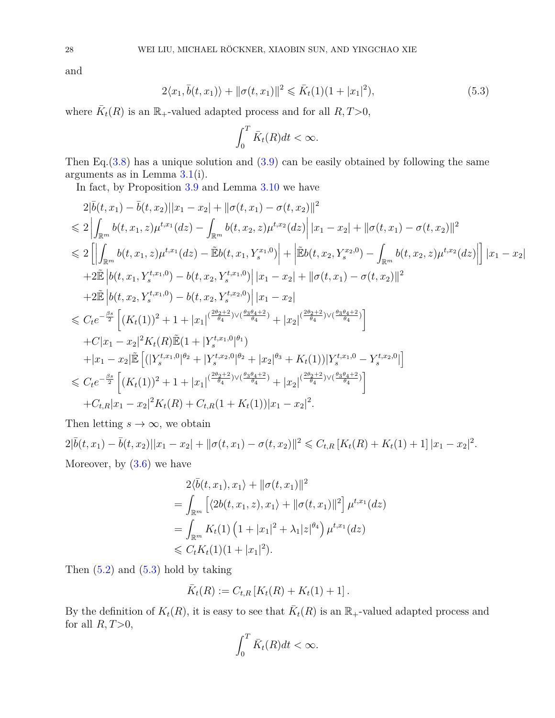and

<span id="page-27-0"></span>
$$
2\langle x_1, \bar{b}(t, x_1) \rangle + ||\sigma(t, x_1)||^2 \le \bar{K}_t(1)(1 + |x_1|^2), \tag{5.3}
$$

where  $\bar{K}_t(R)$  is an  $\mathbb{R}_+$ -valued adapted process and for all  $R, T>0$ ,

$$
\int_0^T \bar{K}_t(R)dt < \infty.
$$

Then Eq.  $(3.8)$  has a unique solution and  $(3.9)$  can be easily obtained by following the same arguments as in Lemma [3.1\(](#page-5-0)i).

In fact, by Proposition [3.9](#page-14-0) and Lemma [3.10](#page-15-0) we have

$$
2|\bar{b}(t,x_1) - \bar{b}(t,x_2)||x_1 - x_2| + ||\sigma(t,x_1) - \sigma(t,x_2)||^2
$$
  
\n
$$
\leq 2\left|\int_{\mathbb{R}^m} b(t,x_1,z)\mu^{t,x_1}(dz) - \int_{\mathbb{R}^m} b(t,x_2,z)\mu^{t,x_2}(dz)\right| |x_1 - x_2| + ||\sigma(t,x_1) - \sigma(t,x_2)||^2
$$
  
\n
$$
\leq 2\left[\left|\int_{\mathbb{R}^m} b(t,x_1,z)\mu^{t,x_1}(dz) - \tilde{E}b(t,x_1,Y_s^{x_1,0})\right| + \left|\tilde{E}b(t,x_2,Y_s^{x_2,0}) - \int_{\mathbb{R}^m} b(t,x_2,z)\mu^{t,x_2}(dz)\right|\right] |x_1 - x_2|
$$
  
\n
$$
+ 2\tilde{E}\left|b(t,x_1,Y_s^{t,x_1,0}) - b(t,x_2,Y_s^{t,x_1,0})\right| |x_1 - x_2| + ||\sigma(t,x_1) - \sigma(t,x_2)||^2
$$
  
\n
$$
+ 2\tilde{E}\left|b(t,x_2,Y_s^{t,x_1,0}) - b(t,x_2,Y_s^{t,x_2,0})\right| |x_1 - x_2|
$$
  
\n
$$
\leq C_t e^{-\frac{\beta s}{2}}\left[\left(K_t(1)\right)^2 + 1 + |x_1|^{(\frac{2\theta_2+2}{\theta_4})\vee(\frac{\theta_3\theta_4+2}{\theta_4})} + |x_2|^{(\frac{2\theta_2+2}{\theta_4})\vee(\frac{\theta_3\theta_4+2}{\theta_4})}\right]
$$
  
\n
$$
+ C|x_1 - x_2|^2 K_t(R)\tilde{E}(1 + |Y_s^{t,x_1,0}|^{\theta_1})
$$
  
\n
$$
+ |x_1 - x_2|\tilde{E}\left[ (|Y_s^{t,x_1,0}|^{\theta_2} + |Y_s^{t,x_2,0}|^{\theta_2} + |x_2|^{\theta_3} + K_t(1))|Y_s^{t,x_1,0} - Y_s^{t,x_2,0}|\right]
$$
  
\n
$$
\leq C_t e^{-\frac{\theta s}{2}}\left
$$

Then letting  $s \to \infty$ , we obtain

 $2|\bar{b}(t,x_1)-\bar{b}(t,x_2)||x_1-x_2| + ||\sigma(t,x_1)-\sigma(t,x_2)||^2 \leqslant C_{t,R}\left[K_t(R)+K_t(1)+1\right]|x_1-x_2|^2.$ Moreover, by [\(3.6\)](#page-13-1) we have

$$
2\langle \bar{b}(t, x_1), x_1 \rangle + ||\sigma(t, x_1)||^2
$$
  
= 
$$
\int_{\mathbb{R}^m} \left[ \langle 2b(t, x_1, z), x_1 \rangle + ||\sigma(t, x_1)||^2 \right] \mu^{t, x_1}(dz)
$$
  
= 
$$
\int_{\mathbb{R}^m} K_t(1) \left( 1 + |x_1|^2 + \lambda_1 |z|^{\theta_4} \right) \mu^{t, x_1}(dz)
$$
  
\$\leq C\_t K\_t(1)(1 + |x\_1|^2).

Then  $(5.2)$  and  $(5.3)$  hold by taking

$$
\bar{K}_t(R) := C_{t,R} [K_t(R) + K_t(1) + 1].
$$

By the definition of  $K_t(R)$ , it is easy to see that  $\overline{K}_t(R)$  is an  $\mathbb{R}_+$ -valued adapted process and for all  $R, T>0$ ,

$$
\int_0^T \bar{K}_t(R)dt < \infty.
$$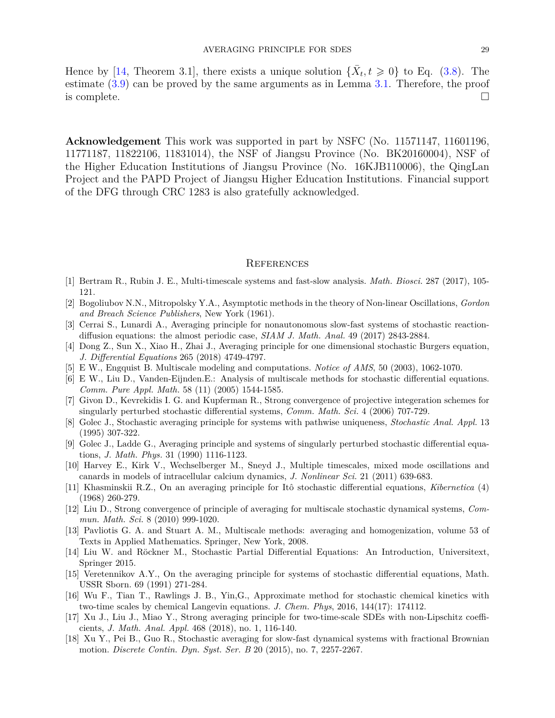Hence by [\[14,](#page-28-15) Theorem 3.1], there exists a unique solution  $\{\bar{X}_t, t \geq 0\}$  to Eq. [\(3.8\)](#page-16-0). The estimate [\(3.9\)](#page-16-3) can be proved by the same arguments as in Lemma [3.1.](#page-5-0) Therefore, the proof is complete.  $\Box$ 

**Acknowledgement** This work was supported in part by NSFC (No. 11571147, 11601196, 11771187, 11822106, 11831014), the NSF of Jiangsu Province (No. BK20160004), NSF of the Higher Education Institutions of Jiangsu Province (No. 16KJB110006), the QingLan Project and the PAPD Project of Jiangsu Higher Education Institutions. Financial support of the DFG through CRC 1283 is also gratefully acknowledged.

#### **REFERENCES**

- <span id="page-28-1"></span>[1] Bertram R., Rubin J. E., Multi-timescale systems and fast-slow analysis. *Math. Biosci.* 287 (2017), 105- 121.
- [2] Bogoliubov N.N., Mitropolsky Y.A., Asymptotic methods in the theory of Non-linear Oscillations, *Gordon and Breach Science Publishers*, New York (1961).
- <span id="page-28-0"></span>[3] Cerrai S., Lunardi A., Averaging principle for nonautonomous slow-fast systems of stochastic reactiondiffusion equations: the almost periodic case, *SIAM J. Math. Anal.* 49 (2017) 2843-2884.
- <span id="page-28-16"></span>[4] Dong Z., Sun X., Xiao H., Zhai J., Averaging principle for one dimensional stochastic Burgers equation, *J. Differential Equations* 265 (2018) 4749-4797.
- <span id="page-28-2"></span>[5] E W., Engquist B. Multiscale modeling and computations. *Notice of AMS*, 50 (2003), 1062-1070.
- <span id="page-28-3"></span>[6] E W., Liu D., Vanden-Eijnden.E.: Analysis of multiscale methods for stochastic differential equations. *Comm. Pure Appl. Math.* 58 (11) (2005) 1544-1585.
- <span id="page-28-8"></span>[7] Givon D., Kevrekidis I. G. and Kupferman R., Strong convergence of projective integeration schemes for singularly perturbed stochastic differential systems, *Comm. Math. Sci.* 4 (2006) 707-729.
- <span id="page-28-9"></span>[8] Golec J., Stochastic averaging principle for systems with pathwise uniqueness, *Stochastic Anal. Appl.* 13 (1995) 307-322.
- <span id="page-28-10"></span>[9] Golec J., Ladde G., Averaging principle and systems of singularly perturbed stochastic differential equations, *J. Math. Phys.* 31 (1990) 1116-1123.
- <span id="page-28-4"></span>[10] Harvey E., Kirk V., Wechselberger M., Sneyd J., Multiple timescales, mixed mode oscillations and canards in models of intracellular calcium dynamics, *J. Nonlinear Sci.* 21 (2011) 639-683.
- <span id="page-28-7"></span>[11] Khasminskii R.Z., On an averaging principle for Itô stochastic differential equations, *Kibernetica* (4) (1968) 260-279.
- <span id="page-28-11"></span>[12] Liu D., Strong convergence of principle of averaging for multiscale stochastic dynamical systems, *Commun. Math. Sci.* 8 (2010) 999-1020.
- <span id="page-28-5"></span>[13] Pavliotis G. A. and Stuart A. M., Multiscale methods: averaging and homogenization, volume 53 of Texts in Applied Mathematics. Springer, New York, 2008.
- <span id="page-28-15"></span>[14] Liu W. and Röckner M., Stochastic Partial Differential Equations: An Introduction, Universitext, Springer 2015.
- <span id="page-28-13"></span>[15] Veretennikov A.Y., On the averaging principle for systems of stochastic differential equations, Math. USSR Sborn. 69 (1991) 271-284.
- <span id="page-28-6"></span>[16] Wu F., Tian T., Rawlings J. B., Yin,G., Approximate method for stochastic chemical kinetics with two-time scales by chemical Langevin equations. *J. Chem. Phys*, 2016, 144(17): 174112.
- <span id="page-28-14"></span>[17] Xu J., Liu J., Miao Y., Strong averaging principle for two-time-scale SDEs with non-Lipschitz coefficients, *J. Math. Anal. Appl.* 468 (2018), no. 1, 116-140.
- <span id="page-28-12"></span>[18] Xu Y., Pei B., Guo R., Stochastic averaging for slow-fast dynamical systems with fractional Brownian motion. *Discrete Contin. Dyn. Syst. Ser. B* 20 (2015), no. 7, 2257-2267.